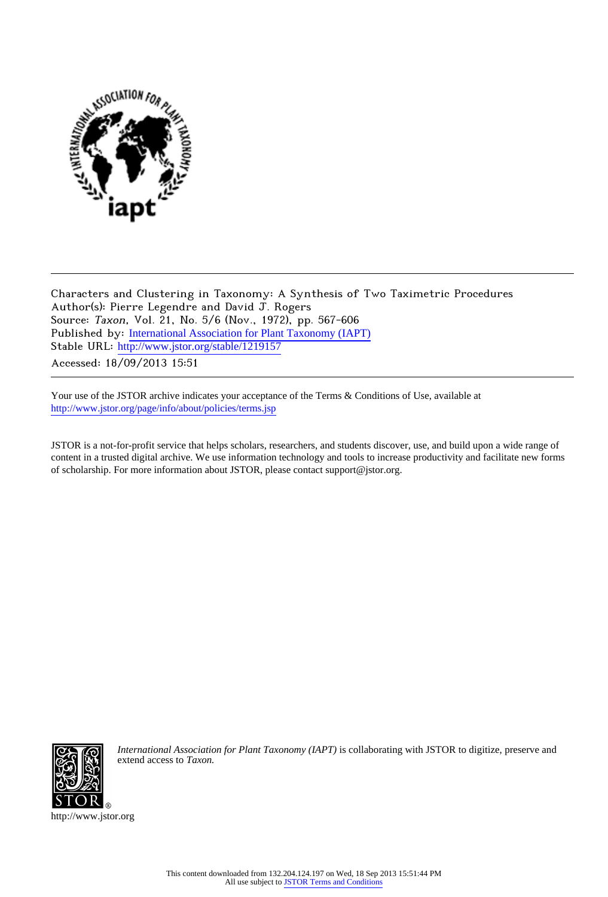

Characters and Clustering in Taxonomy: A Synthesis of Two Taximetric Procedures Author(s): Pierre Legendre and David J. Rogers Source: Taxon, Vol. 21, No. 5/6 (Nov., 1972), pp. 567-606 Published by: [International Association for Plant Taxonomy \(IAPT\)](http://www.jstor.org/action/showPublisher?publisherCode=iapt) Stable URL: [http://www.jstor.org/stable/1219157](http://www.jstor.org/stable/1219157?origin=JSTOR-pdf) Accessed: 18/09/2013 15:51

Your use of the JSTOR archive indicates your acceptance of the Terms & Conditions of Use, available at <http://www.jstor.org/page/info/about/policies/terms.jsp>

JSTOR is a not-for-profit service that helps scholars, researchers, and students discover, use, and build upon a wide range of content in a trusted digital archive. We use information technology and tools to increase productivity and facilitate new forms of scholarship. For more information about JSTOR, please contact support@jstor.org.



*International Association for Plant Taxonomy (IAPT)* is collaborating with JSTOR to digitize, preserve and extend access to *Taxon.*

http://www.jstor.org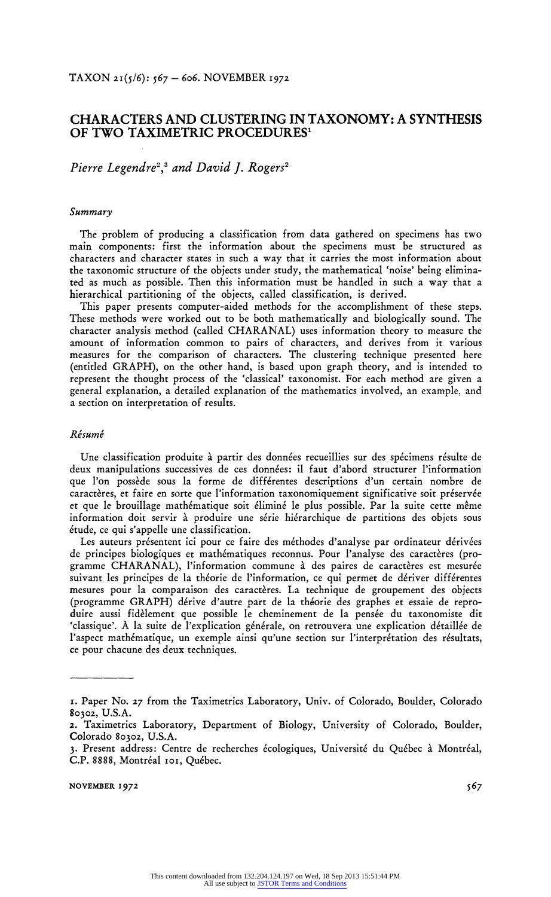# **CHARACTERS AND CLUSTERING IN TAXONOMY: A SYNTHESIS OF TWO TAXIMETRIC PROCEDURES1**

Pierre Legendre<sup>2</sup>,<sup>3</sup> and David J. Rogers<sup>2</sup>

#### **Summary**

**The problem of producing a classification from data gathered on specimens has two main components: first the information about the specimens must be structured as characters and character states in such a way that it carries the most information about the taxonomic structure of the objects under study, the mathematical 'noise' being eliminated as much as possible. Then this information must be handled in such a way that a hierarchical partitioning of the objects, called classification, is derived.** 

**This paper presents computer-aided methods for the accomplishment of these steps. These methods were worked out to be both mathematically and biologically sound. The character analysis method (called CHARANAL) uses information theory to measure the amount of information common to pairs of characters, and derives from it various measures for the comparison of characters. The clustering technique presented here (entitled GRAPH), on the other hand, is based upon graph theory, and is intended to represent the thought process of the 'classical' taxonomist. For each method are given a general explanation, a detailed explanation of the mathematics involved, an example, and a section on interpretation of results.** 

### **Resume'**

Une classification produite à partir des données recueillies sur des spécimens résulte de deux manipulations successives de ces données: il faut d'abord structurer l'information **que l'on poss'de sous la forme de differentes descriptions d'un certain nombre de**  caractères, et faire en sorte que l'information taxonomiquement significative soit préservée et que le brouillage mathématique soit éliminé le plus possible. Par la suite cette même **information doit servir ' produire une serie hierarchique de partitions des objets sous etude, ce qui s'appelle une classification.** 

Les auteurs présentent ici pour ce faire des méthodes d'analyse par ordinateur dérivées de principes biologiques et mathématiques reconnus. Pour l'analyse des caractères (programme CHARANAL), l'information commune à des paires de caractères est mesurée suivant les principes de la théorie de l'information, ce qui permet de dériver différentes mesures pour la comparaison des caractères. La technique de groupement des objects (programme GRAPH) dérive d'autre part de la théorie des graphes et essaie de reproduire aussi fidèlement que possible le cheminement de la pensée du taxonomiste dit 'classique'. À la suite de l'explication générale, on retrouvera une explication détaillée de l'aspect mathématique, un exemple ainsi qu'une section sur l'interprétation des résultats, **ce pour chacune des deux techniques.** 

**i. Paper No. 27 from the Taximetrics Laboratory, Univ. of Colorado, Boulder, Colorado 80302, U.S.A.** 

**<sup>2.</sup> Taximetrics Laboratory, Department of Biology, University of Colorado, Boulder, Colorado 80302, U.S.A.** 

**<sup>3.</sup> Present address: Centre de recherches 6cologiques, Universit6 du Quebec a Montreal, C.P. 8888, Montreal Ioi, Qu6bec.**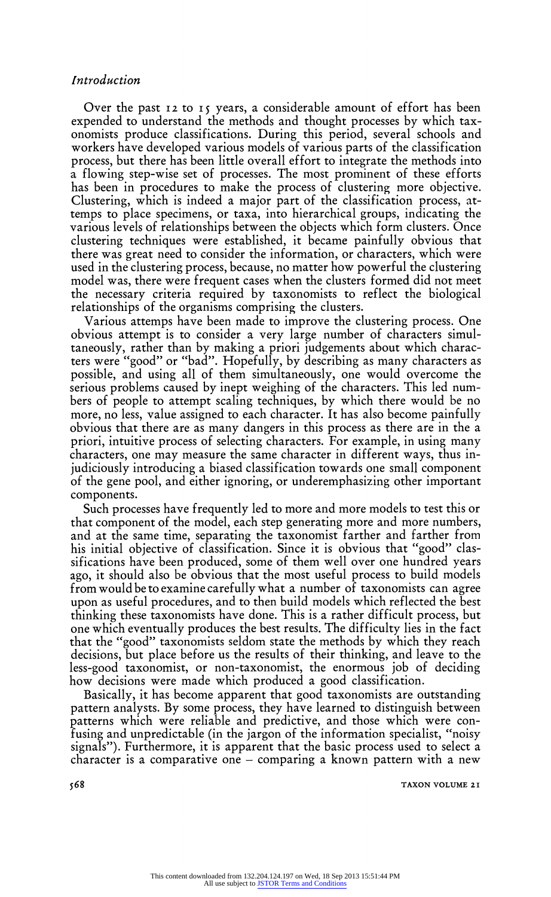## **Introduction**

**Over the past 12 to 15 years, a considerable amount of effort has been expended to understand the methods and thought processes by which taxonomists produce classifications. During this period, several schools and workers have developed various models of various parts of the classification process, but there has been little overall effort to integrate the methods into a flowing step-wise set of processes. The most prominent of these efforts has been in procedures to make the process of clustering more objective. Clustering, which is indeed a major part of the classification process, attemps to place specimens, or taxa, into hierarchical groups, indicating the various levels of relationships between the objects which form clusters. Once clustering techniques were established, it became painfully obvious that there was great need to consider the information, or characters, which were used in the clustering process, because, no matter how powerful the clustering model was, there were frequent cases when the clusters formed did not meet the necessary criteria required by taxonomists to reflect the biological relationships of the organisms comprising the clusters.** 

**Various attemps have been made to improve the clustering process. One obvious attempt is to consider a very large number of characters simultaneously, rather than by making a priori judgements about which characters were "good" or "bad". Hopefully, by describing as many characters as possible, and using all of them simultaneously, one would overcome the serious problems caused by inept weighing of the characters. This led numbers of people to attempt scaling techniques, by which there would be no more, no less, value assigned to each character. It has also become painfully obvious that there are as many dangers in this process as there are in the a priori, intuitive process of selecting characters. For example, in using many characters, one may measure the same character in different ways, thus injudiciously introducing a biased classification towards one small component of the gene pool, and either ignoring, or underemphasizing other important components.** 

**Such processes have frequently led to more and more models to test this or that component of the model, each step generating more and more numbers, and at the same time, separating the taxonomist farther and farther from his initial objective of classification. Since it is obvious that "good" classifications have been produced, some of them well over one hundred years ago, it should also be obvious that the most useful process to build models from would be to examine carefully what a number of taxonomists can agree upon as useful procedures, and to then build models which reflected the best thinking these taxonomists have done. This is a rather difficult process, but one which eventually produces the best results. The difficulty lies in the fact that the "good" taxonomists seldom state the methods by which they reach decisions, but place before us the results of their thinking, and leave to the less-good taxonomist, or non-taxonomist, the enormous job of deciding how decisions were made which produced a good classification.** 

**Basically, it has become apparent that good taxonomists are outstanding pattern analysts. By some process, they have learned to distinguish between patterns which were reliable and predictive, and those which were confusing and unpredictable (in the jargon of the information specialist, "noisy signals"). Furthermore, it is apparent that the basic process used to select a character is a comparative one - comparing a known pattern with a new**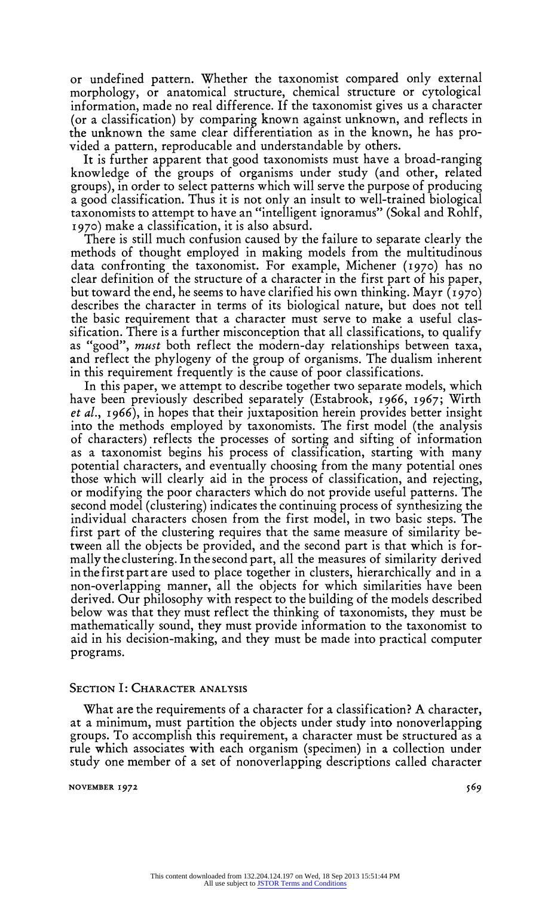**or undefined pattern. Whether the taxonomist compared only external morphology, or anatomical structure, chemical structure or cytological information, made no real difference. If the taxonomist gives us a character (or a classification) by comparing known against unknown, and reflects in the unknown the same clear differentiation as in the known, he has provided a pattern, reproducable and understandable by others.** 

**It is further apparent that good taxonomists must have a broad-ranging knowledge of the groups of organisms under study (and other, related groups), in order to select patterns which will serve the purpose of producing a good classification. Thus it is not only an insult to well-trained biological taxonomists to attempt to have an "intelligent ignoramus" (Sokal and Rohlf, 1970) make a classification, it is also absurd.** 

**There is still much confusion caused by the failure to separate clearly the methods of thought employed in making models from the multitudinous data confronting the taxonomist. For example, Michener (I970) has no clear definition of the structure of a character in the first part of his paper, but toward the end, he seems to have clarified his own thinking. Mayr (1970) describes the character in terms of its biological nature, but does not tell the basic requirement that a character must serve to make a useful classification. There is a further misconception that all classifications, to qualify as "good", must both reflect the modern-day relationships between taxa, and reflect the phylogeny of the group of organisms. The dualism inherent in this requirement frequently is the cause of poor classifications.** 

**In this paper, we attempt to describe together two separate models, which have been previously described separately (Estabrook, 1966, 1967; Wirth et al., 1966), in hopes that their juxtaposition herein provides better insight into the methods employed by taxonomists. The first model (the analysis of characters) reflects the processes of sorting and sifting of information as a taxonomist begins his process of classification, starting with many potential characters, and eventually choosing from the many potential ones those which will clearly aid in the process of classification, and rejecting, or modifying the poor characters which do not provide useful patterns. The second model (clustering) indicates the continuing process of synthesizing the individual characters chosen from the first model, in two basic steps. The first part of the clustering requires that the same measure of similarity between all the objects be provided, and the second part is that which is formally the clustering. In the second part, all the measures of similarity derived in the first part are used to place together in clusters, hierarchically and in a non-overlapping manner, all the objects for which similarities have been derived. Our philosophy with respect to the building of the models described below was that they must reflect the thinking of taxonomists, they must be mathematically sound, they must provide information to the taxonomist to aid in his decision-making, and they must be made into practical computer programs.** 

# **SECTION I: CHARACTER ANALYSIS**

**What are the requirements of a character for a classification? A character, at a minimum, must partition the objects under study into nonoverlapping groups. To accomplish this requirement, a character must be structured as a rule which associates with each organism (specimen) in a collection under study one member of a set of nonoverlapping descriptions called character**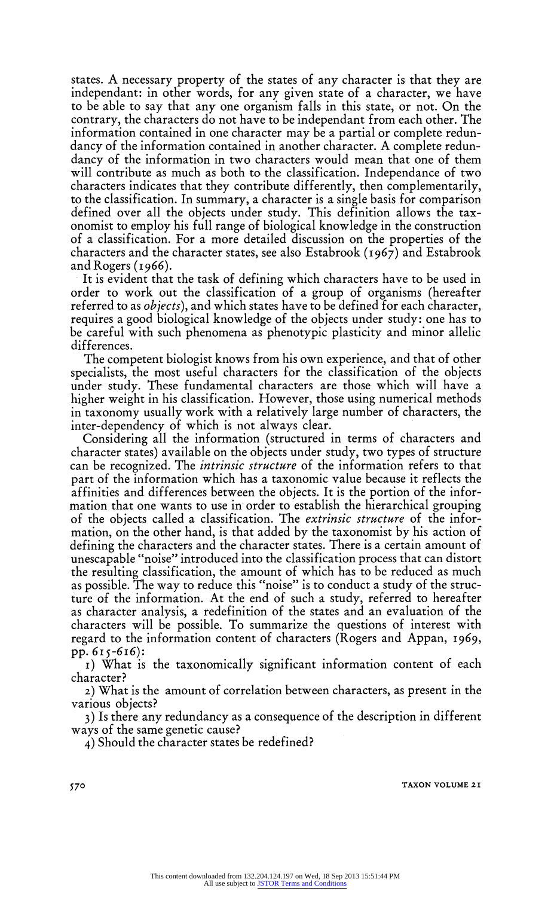**states. A necessary property of the states of any character is that they are independant: in other words, for any given state of a character, we have to be able to say that any one organism falls in this state, or not. On the contrary, the characters do not have to be independant from each other. The information contained in one character may be a partial or complete redundancy of the information contained in another character. A complete redundancy of the information in two characters would mean that one of them will contribute as much as both to the classification. Independance of two characters indicates that they contribute differently, then complementarily, to the classification. In summary, a character is a single basis for comparison defined over all the objects under study. This definition allows the taxonomist to employ his full range of biological knowledge in the construction of a classification. For a more detailed discussion on the properties of the characters and the character states, see also Estabrook (1967) and Estabrook and Rogers (1966).** 

**It is evident that the task of defining which characters have to be used in order to work out the classification of a group of organisms (hereafter referred to as objects), and which states have to be defined for each character, requires a good biological knowledge of the objects under study: one has to be careful with such phenomena as phenotypic plasticity and minor allelic differences.** 

**The competent biologist knows from his own experience, and that of other specialists, the most useful characters for the classification of the objects under study. These fundamental characters are those which will have a higher weight in his classification. However, those using numerical methods in taxonomy usually work with a relatively large number of characters, the inter-dependency of which is not always clear.** 

**Considering all the information (structured in terms of characters and character states) available on the objects under study, two types of structure can be recognized. The intrinsic structure of the information refers to that part of the information which has a taxonomic value because it reflects the affinities and differences between the objects. It is the portion of the information that one wants to use in order to establish the hierarchical grouping of the objects called a classification. The extrinsic structure of the information, on the other hand, is that added by the taxonomist by his action of defining the characters and the character states. There is a certain amount of unescapable "noise" introduced into the classification process that can distort the resulting classification, the amount of which has to be reduced as much as possible. The way to reduce this "noise" is to conduct a study of the structure of the information. At the end of such a study, referred to hereafter as character analysis, a redefinition of the states and an evaluation of the characters will be possible. To summarize the questions of interest with regard to the information content of characters (Rogers and Appan, 1969, pp. 615-616):** 

**I) What is the taxonomically significant information content of each character?** 

**2) What is the amount of correlation between characters, as present in the various objects?** 

**3) Is there any redundancy as a consequence of the description in different ways of the same genetic cause?** 

**4) Should the character states be redefined?** 

**570 TAXON VOLUME 21I**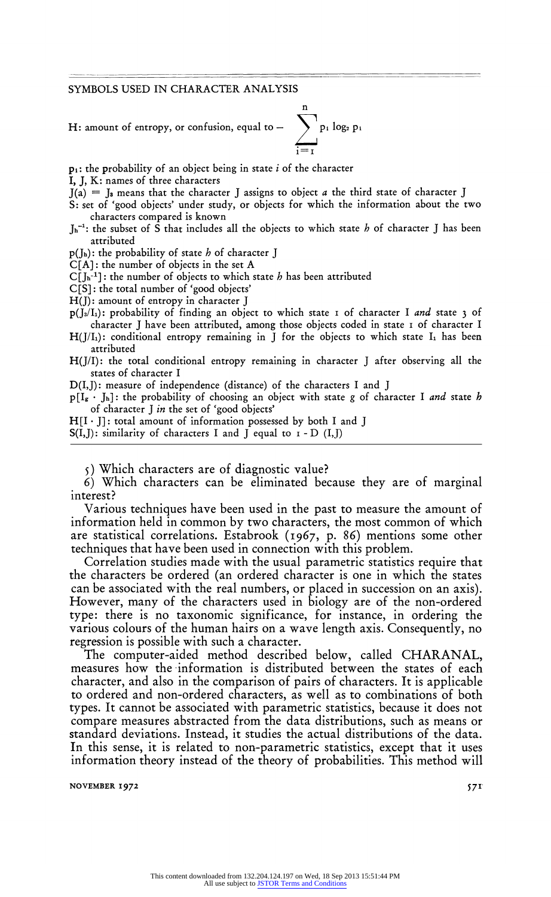### **SYMBOLS USED IN CHARACTER ANALYSIS**

 $H:$  amount of entropy, or confusion, equal to  $-$ 

$$
\sum_{i=1}^n p_i \log_2 p_i
$$

**1-I pi: the probability of an object being in state i of the character** 

**I, J, K: names of three characters** 

- $J(a) = J_a$  means that the character J assigns to object *a* the third state of character J
- **S: set of 'good objects' under study, or objects for which the information about the two characters compared is known**
- **Jh-1: the subset of S that includes all the objects to which state h of character J has been attributed**
- **p(Jh): the probability of state h of character J**
- **C[A]: the number of objects in the set A**

 $C[J<sub>h</sub><sup>-1</sup>]$ : the number of objects to which state *h* has been attributed

**C[S]: the total number of 'good objects'** 

- **H(J): amount of entropy in character J**
- **p(J3/1): probability of finding an object to which state i of character I and state 3 of character J have been attributed, among those objects coded in state i of character I**
- $H(J/I<sub>1</sub>)$ : conditional entropy remaining in J for the objects to which state  $I<sub>1</sub>$  has been **attributed**
- **H(J/I): the total conditional entropy remaining in character J after observing all the states of character I**
- **D(I,J): measure of independence (distance) of the characters I and J**

**p [I, Jh]: the probability of choosing an object with state g of character I and state h of character J in the set of 'good objects'** 

 $H[I \cdot J]$ : total amount of information possessed by both I and J

- **S(I,J): similarity of characters I and J equal to i D (I,J)** 
	- **5) Which characters are of diagnostic value?**

**6) Which characters can be eliminated because they are of marginal interest?** 

**Various techniques have been used in the past to measure the amount of information held in common by two characters, the most common of which are statistical correlations. Estabrook (1967, p. 86) mentions some other techniques that have been used in connection with this problem.** 

**Correlation studies made with the usual parametric statistics require that the characters be ordered (an ordered character is one in which the states can be associated with the real numbers, or placed in succession on an axis). However, many of the characters used in biology are of the non-ordered type: there is no taxonomic significance, for instance, in ordering the various colours of the human hairs on a wave length axis. Consequently, no regression is possible with such a character.** 

**The computer-aided method described below, called CHARANAL, measures how the information is distributed between the states of each character, and also in the comparison of pairs of characters. It is applicable to ordered and non-ordered characters, as well as to combinations of both types. It cannot be associated with parametric statistics, because it does not compare measures abstracted from the data distributions, such as means or standard deviations. Instead, it studies the actual distributions of the data. In this sense, it is related to non-parametric statistics, except that it uses information theory instead of the theory of probabilities. This method will**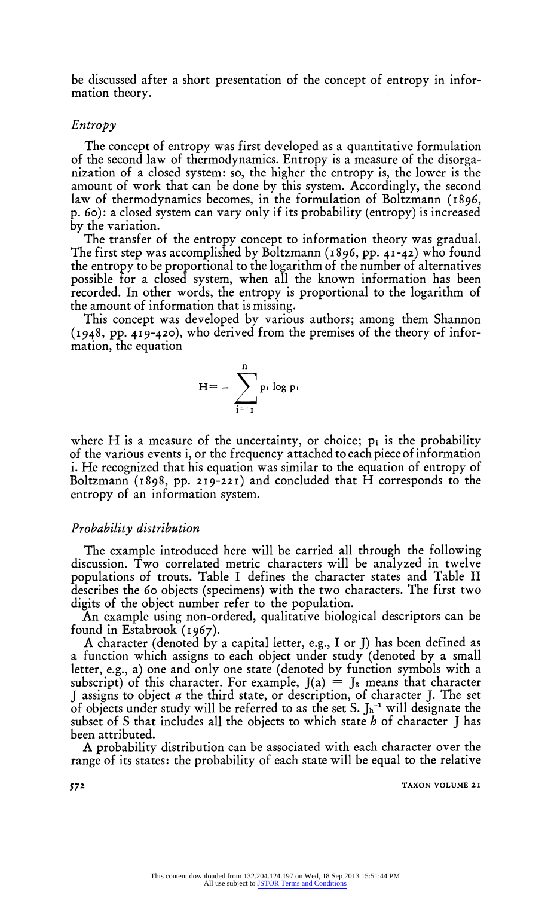**be discussed after a short presentation of the concept of entropy in information theory.** 

## **Entropy**

**The concept of entropy was first developed as a quantitative formulation of the second law of thermodynamics. Entropy is a measure of the disorganization of a closed system: so, the higher the entropy is, the lower is the amount of work that can be done by this system. Accordingly, the second law of thermodynamics becomes, in the formulation of Boltzmann (I896, p. 6o): a closed system can vary only if its probability (entropy) is increased by the variation.** 

**The transfer of the entropy concept to information theory was gradual. The first step was accomplished by Boltzmann (1896, pp. 41-42) who found the entropy to be proportional to the logarithm of the number of alternatives possible for a closed system, when all the known information has been recorded. In other words, the entropy is proportional to the logarithm of the amount of information that is missing.** 

**This concept was developed by various authors; among them Shannon (1948, pp. 419-420), who derived from the premises of the theory of information, the equation** 

$$
H=-\sum_{i=\tau}^n p_i \log p_i
$$

**where H is a measure of the uncertainty, or choice; pi is the probability of the various events i, or the frequency attached to each piece of information i. He recognized that his equation was similar to the equation of entropy of Boltzmann (1898, pp. 219-221) and concluded that H corresponds to the entropy of an information system.** 

### **Probability distribution**

**The example introduced here will be carried all through the following discussion. Two correlated metric characters will be analyzed in twelve populations of trouts. Table I defines the character states and Table II describes the 6o objects (specimens) with the two characters. The first two digits of the object number refer to the population.** 

**An example using non-ordered, qualitative biological descriptors can be** 

**A** character (denoted by a capital letter, e.g., I or J) has been defined as **a function which assigns to each object under study (denoted by a small letter, e.g., a) one and only one state (denoted by function symbols with a**  subscript) of this character. For example,  $J(a) = J_3$  means that character **J assigns to object a the third state, or description, of character J. The set**  of objects under study will be referred to as the set S.  $J_h^{-1}$  will designate the **subset of S that includes all the objects to which state h of character J has been attributed.** 

**A probability distribution can be associated with each character over the range of its states: the probability of each state will be equal to the relative**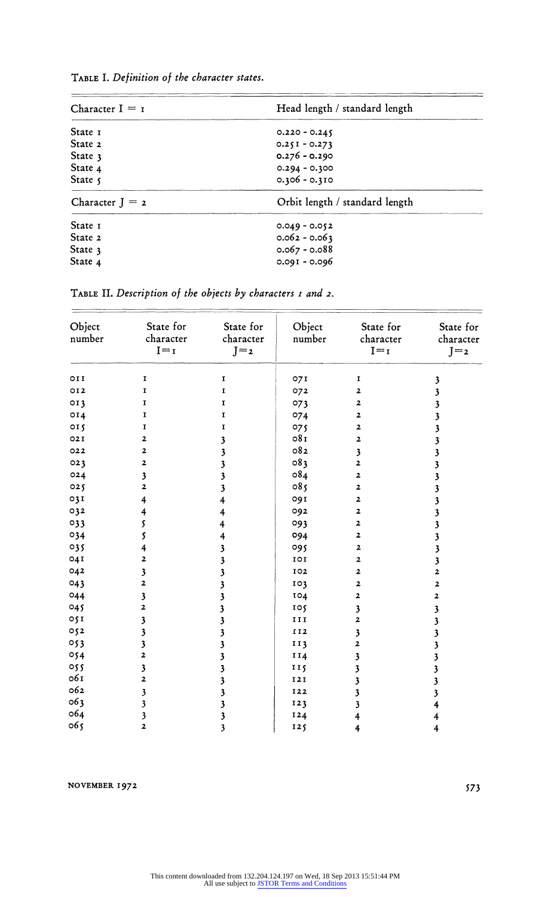| Head length / standard length  |
|--------------------------------|
| $0.220 - 0.245$                |
| $0.251 - 0.273$                |
| $0.276 - 0.290$                |
| $0.294 - 0.300$                |
| $0.306 - 0.310$                |
| Orbit length / standard length |
| $0.049 - 0.052$                |
| $0.062 - 0.063$                |
| $0.067 - 0.088$                |
| $0.091 - 0.096$                |
|                                |

**TABLE I. Definition of the character states.** 

**TABLE II. Description of the objects by characters i and 2.** 

| Object<br>number | State for<br>character<br>$I = I$ | State for<br>character<br>$J=2$ | Object<br>number | State for<br>character<br>$I = I$ | State for<br>character<br>$J=2$ |
|------------------|-----------------------------------|---------------------------------|------------------|-----------------------------------|---------------------------------|
| $_{\text{o}11}$  | $\mathbf I$                       | $\mathbf I$                     | 07I              | I                                 | 3                               |
| O <sub>I</sub> 2 | I                                 | $\mathbf I$                     | 072              | $\mathbf 2$                       | 3                               |
| 013              | $\mathbf I$                       | $\mathbf I$                     | 073              | $\mathbf 2$                       | 3                               |
| 014              | $\mathbf I$                       | I                               | 074              | $\mathbf 2$                       | 3                               |
| 015              | $\mathbf I$                       | I                               | 075              | $\mathbf 2$                       | 3                               |
| 02I              | $\mathbf 2$                       | 3                               | 081              | $\overline{\mathbf{2}}$           | 3                               |
| 022              | $\mathbf 2$                       | 3                               | 082              | 3                                 | 3                               |
| 023              | $\overline{\mathbf{z}}$           | 3                               | 083              | $\mathbf 2$                       | 3                               |
| 024              | $\overline{\mathbf{3}}$           | 3                               | 084              | $\mathbf 2$                       | 3                               |
| 025              | $\overline{2}$                    | 3                               | 085              | $\mathbf 2$                       | 3                               |
| 03I              | 4                                 | 4                               | 091              | $\mathbf 2$                       | 3                               |
| 032              | 4                                 | 4                               | 092              | 2                                 | 3                               |
| 033              | 5                                 | 4                               | 093              | $\mathbf 2$                       | 3                               |
| 034              | 5                                 | 4                               | 094              | $\mathbf 2$                       | 3                               |
| 035              | 4                                 | 3                               | 095              | $\mathbf 2$                       | 3                               |
| 041              | $\overline{\mathbf{2}}$           | 3                               | 101              | $\mathbf 2$                       | 3                               |
| 042              | 3                                 | $\overline{\mathbf{3}}$         | 102              | $\mathbf 2$                       | $\overline{\mathbf{2}}$         |
| 043              | $\mathbf{z}$                      | 3                               | 103              | $\mathbf 2$                       | $\mathbf 2$                     |
| 044              | 3                                 | 3                               | TO4              | $\mathbf 2$                       | 2                               |
| 045              | $\overline{\mathbf{2}}$           | 3                               | 105              | 3                                 | 3                               |
| 05I              | 3                                 | 3                               | III              | $\overline{\mathbf{2}}$           |                                 |
| 052              | 3                                 | 3                               | 112              | 3                                 | 3                               |
| 053              | 3                                 | 3                               | 113              | 2                                 | 3                               |
| 054              | $\overline{\mathbf{2}}$           | 3                               | II4              | 3                                 | 3                               |
| 055              | 3                                 | 3                               | II <sub>5</sub>  | 3                                 | 3                               |
| 061              | $\overline{\mathbf{2}}$           | 3                               | <b>I2I</b>       | 3                                 | 3                               |
| 062              | 3                                 | 3                               | <b>I22</b>       | 3                                 | 3                               |
| 063              | 3                                 | 3                               | 123              | 3                                 |                                 |
| 064              | 3                                 | 3                               | 124              | 4                                 |                                 |
| 065              | $\overline{2}$                    | $\overline{\mathbf{3}}$         | 125              | 4                                 | 4                               |

**NOVEMBER 1972 573** 

 $\equiv$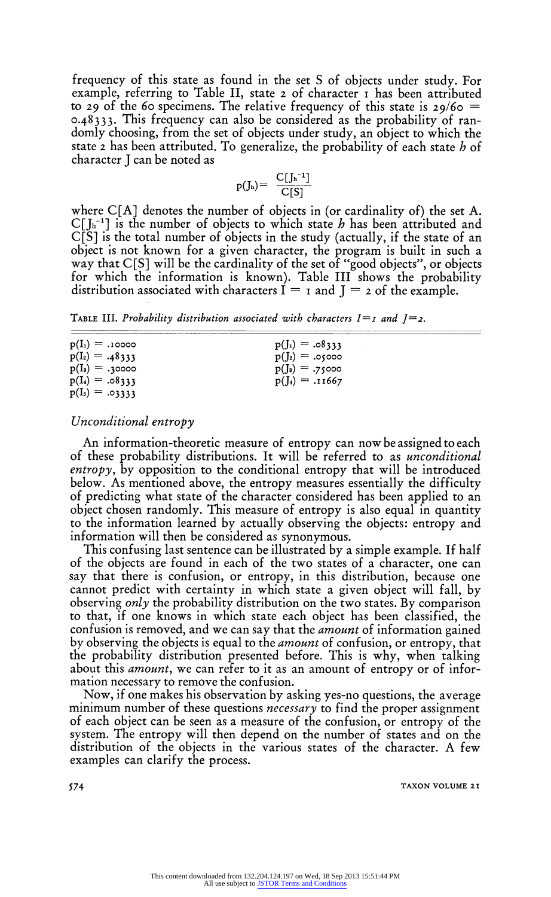**frequency of this state as found in the set S of objects under study. For example, referring to Table II, state 2 of character i has been attributed to 29 of the 6o specimens. The relative frequency of this state is 29/60 = 0.48333. This frequency can also be considered as the probability of randomly choosing, from the set of objects under study, an object to which the state 2 has been attributed. To generalize, the probability of each state h of character J can be noted as** 

$$
p(J_h) = \frac{C[J_h^{-1}]}{C[S]}
$$

**where C[A] denotes the number of objects in (or cardinality of) the set A.**   $C[\int_{h}^{-1}]$  is the number of objects to which state h has been attributed and **C[S] is the total number of objects in the study (actually, if the state of an object is not known for a given character, the program is built in such a way that C[S] will be the cardinality of the set of "good objects", or objects for which the information is known). Table III shows the probability**  distribution associated with characters  $I = I$  and  $J = 2$  of the example.

**TABLE III.** Probability distribution associated with characters  $I = I$  and  $J = 2$ .

| $p(I_1) = .08333$<br>$p(I_2) = .$ 05000<br>$p(I_3) = .75000$<br>$p(J_4) = .11667$ |
|-----------------------------------------------------------------------------------|
|                                                                                   |
|                                                                                   |

## **Unconditional entropy**

**An information-theoretic measure of entropy can now be assigned to each of these probability distributions. It will be referred to as unconditional entropy, by opposition to the conditional entropy that will be introduced below. As mentioned above, the entropy measures essentially the difficulty of predicting what state of the character considered has been applied to an object chosen randomly. This measure of entropy is also equal in quantity to the information learned by actually observing the objects: entropy and information will then be considered as synonymous.** 

**This confusing last sentence can be illustrated by a simple example. If half of the objects are found in each of the two states of a character, one can say that there is confusion, or entropy, in this distribution, because one cannot predict with certainty in which state a given object will fall, by observing only the probability distribution on the two states. By comparison to that, if one knows in which state each object has been classified, the confusion is removed, and we can say that the amount of information gained by observing the objects is equal to the amount of confusion, or entropy, that the probability distribution presented before. This is why, when talking about this amount, we can refer to it as an amount of entropy or of information necessary to remove the confusion.** 

**Now, if one makes his observation by asking yes-no questions, the average minimum number of these questions necessary to find the proper assignment of each object can be seen as a measure of the confusion, or entropy of the system. The entropy will then depend on the number of states and on the distribution of the objects in the various states of the character. A few examples can clarify the process.**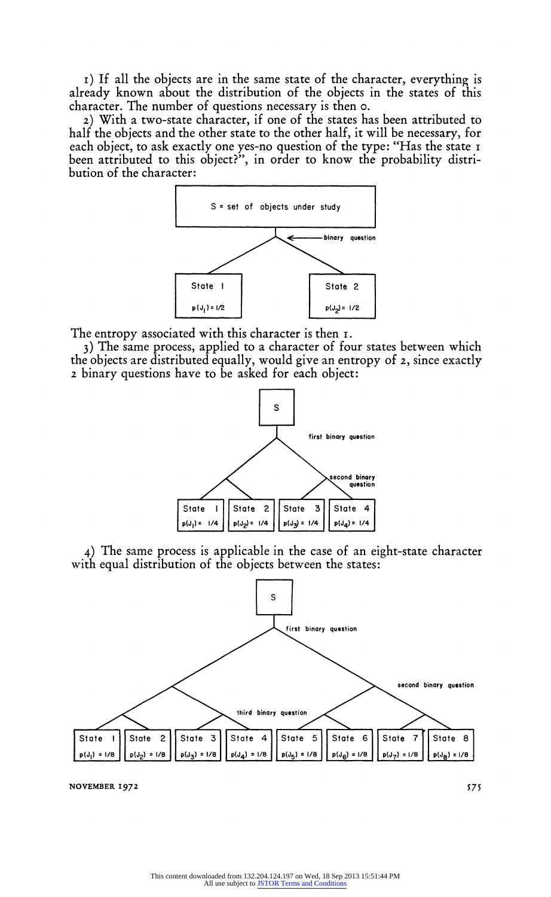**i) If all the objects are in the same state of the character, everything is already known about the distribution of the objects in the states of this character. The number of questions necessary is then o.** 

**2) With a two-state character, if one of the states has been attributed to half the objects and the other state to the other half, it will be necessary, for each object, to ask exactly one yes-no question of the type: "Has the state i been attributed to this object?", in order to know the probability distribution of the character:** 



**The entropy associated with this character is then I.** 

**3) The same process, applied to a character of four states between which the objects are distributed equally, would give an entropy of 2, since exactly 2 binary questions have to be asked for each object:** 



**4) The same process is applicable in the case of an eight-state character with equal distribution of the objects between the states:** 

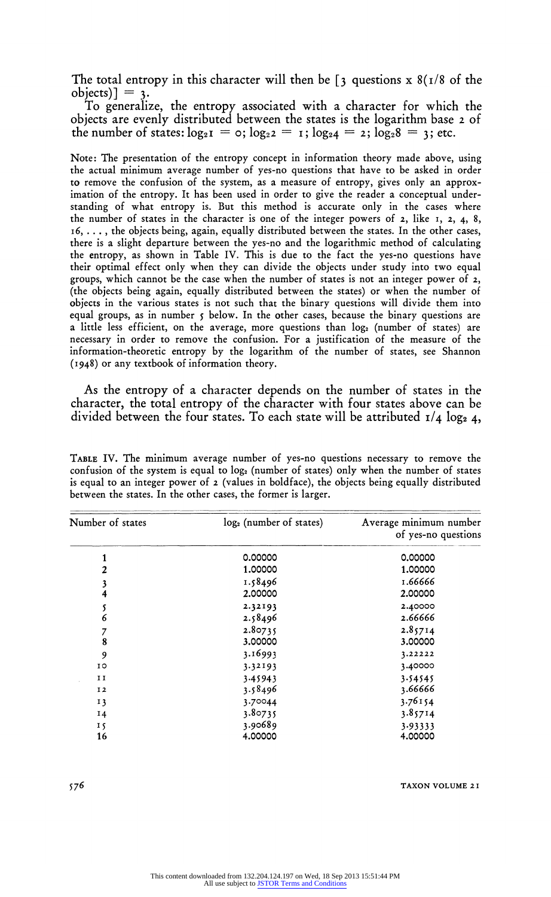The total entropy in this character will then be  $\lceil 3 \rceil$  questions x  $8(\frac{1}{8}$  of the  $objects)$ ] = 3.

**To generalize, the entropy associated with a character for which the objects are evenly distributed between the states is the logarithm base 2 of the number of states:**  $\log_{2}I = o$ ;  $\log_{2}2 = I$ ;  $\log_{2}4 = 2$ ;  $\log_{2}8 = 3$ ; etc.

**Note: The presentation of the entropy concept in information theory made above, using the actual minimum average number of yes-no questions that have to be asked in order to remove the confusion of the system, as a measure of entropy, gives only an approximation of the entropy. It has been used in order to give the reader a conceptual understanding of what entropy is. But this method is accurate only in the cases where the number of states in the character is one of the integer powers of 2, like I, 2, 4, 8, 16, . . . , the objects being, again, equally distributed between the states. In the other cases, there is a slight departure between the yes-no and the logarithmic method of calculating the entropy, as shown in Table IV. This is due to the fact the yes-no questions have their optimal effect only when they can divide the objects under study into two equal groups, which cannot be the case when the number of states is not an integer power of 2, (the objects being again, equally distributed between the states) or when the number of objects in the various states is not such that the binary questions will divide them into equal groups, as in number 5 below. In the other cases, because the binary questions are**  a little less efficient, on the average, more questions than  $log_2$  (number of states) are **necessary in order to remove the confusion. For a justification of the measure of the information-theoretic entropy by the logarithm of the number of states, see Shannon (1948) or any textbook of information theory.** 

**As the entropy of a character depends on the number of states in the character, the total entropy of the character with four states above can be**  divided between the four states. To each state will be attributed  $\frac{1}{4} \log_2 4$ ,

**TABLE IV. The minimum average number of yes-no questions necessary to remove the**  confusion of the system is equal to  $log_2$  (number of states) only when the number of states **is equal to an integer power of <sup>2</sup>(values in boldface), the objects being equally distributed between the states. In the other cases, the former is larger.** 

| Number of states | $log2$ (number of states) | Average minimum number<br>of yes-no questions |
|------------------|---------------------------|-----------------------------------------------|
|                  | 0.00000                   | 0.00000                                       |
| 2                | 1.00000                   | 1.00000                                       |
| 3                | 1.58496                   | 1.66666                                       |
| 4                | 2.00000                   | 2.00000                                       |
|                  | 2.32193                   | 2.40000                                       |
| 6                | 2.58496                   | 2.66666                                       |
| 7                | 2.80735                   | 2.85714                                       |
| 8                | 3.00000                   | 3.00000                                       |
| 9                | 3.16993                   | 3.22222                                       |
| IO               | 3.32193                   | 3.40000                                       |
| 11               | 3.45943                   | 3.54545                                       |
| I <sub>2</sub>   | 3.58496                   | 3.66666                                       |
| 13               | 3.70044                   | 3.76154                                       |
| 14               | 3.80735                   | 3.85714                                       |
| 15               | 3.90689                   | 3.93333                                       |
| 16               | 4.00000                   | 4.00000                                       |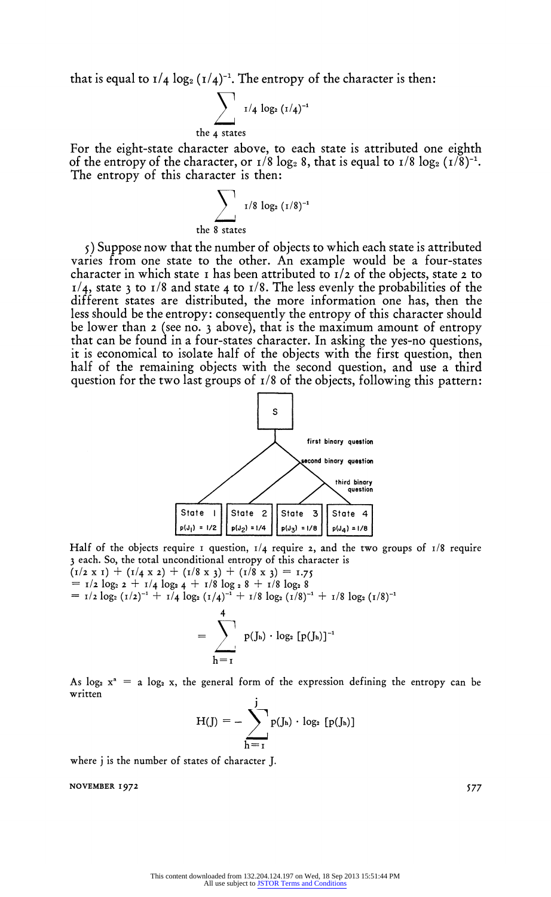that is equal to  $1/4 \log_2 (1/4)^{-1}$ . The entropy of the character is then:

$$
\sum_{\text{the 4 states}} \frac{1}{4} \log_2 (1/4)^{-1}
$$

**For the eight-state character above, to each state is attributed one eighth of the entropy of the character, or**  $I/8$  $\log_2 8$ **, that is equal to**  $I/8$  $\log_2 (I/8)^{-1}$ **. The entropy of this character is then:** 

$$
\sum_{\text{the 8 states}} 1/8 \log_2 (1/8)^{-1}
$$

**5) Suppose now that the number of objects to which each state is attributed varies from one state to the other. An example would be a four-states character in which state i has been attributed to i/2 of the objects, state 2 to 1/4, state 3 to I/8 and state 4 to 1/8. The less evenly the probabilities of the different states are distributed, the more information one has, then the less should be the entropy: consequently the entropy of this character should be lower than 2 (see no. 3 above), that is the maximum amount of entropy that can be found in a four-states character. In asking the yes-no questions, it is economical to isolate half of the objects with the first question, then half of the remaining objects with the second question, and use a third question for the two last groups of i/8 of the objects, following this pattern:** 



**Half of the objects require i question, 1/4 require 2, and the two groups of 1/8 require 3 each. So, the total unconditional entropy of this character is** 

 $(\textbf{1}/2 \times \textbf{1}) + (\textbf{1}/4 \times \textbf{2}) + (\textbf{1}/8 \times \textbf{3}) + (\textbf{1}/8 \times \textbf{3}) = 1.75$  $=$  **1/2**  $\log_2 2 + 1/4 \log_2 4 + 1/8 \log_2 8 + 1/8 \log_2 8$ 

 $=$  1/2  $\log_2 (1/2)^{-1}$  +  $\frac{1}{4} \log_2 (1/4)^{-1}$  +  $\frac{1}{8} \log_2 (1/8)^{-1}$  +  $\frac{1}{8} \log_2 (1/8)^{-1}$ 

$$
=\sum_{h=\,I}^4\ p(J_h)\cdot \log_2\,[p(J_h)]^{-1}
$$

As  $\log_2 x^* = a \log_2 x$ , the general form of the expression defining the entropy can be **written** 

$$
H(J) = -\sum_{h=\tau}^{J} p(J_h) \cdot \log_2 [p(J_h)]
$$

**where j is the number of states of character J.**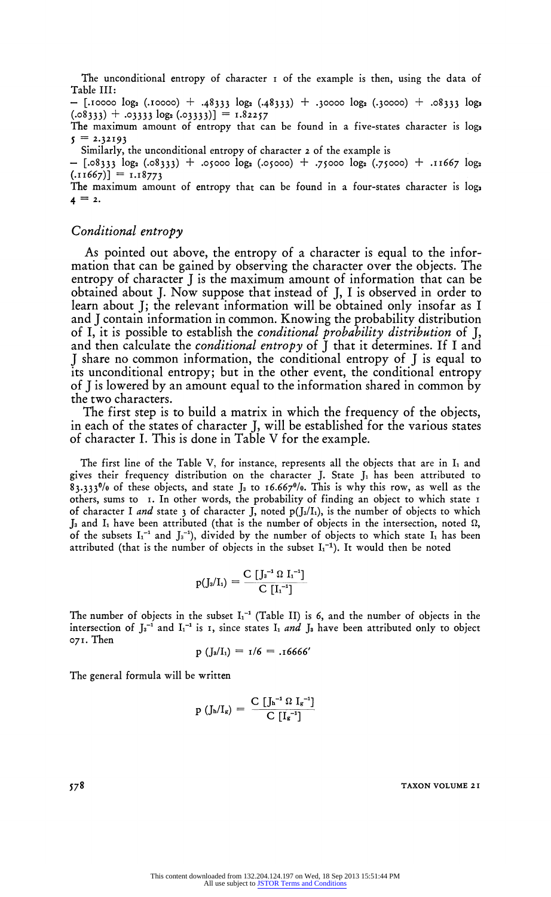**The unconditional entropy of character I of the example is then, using the data of Table III:** 

**- [.1oooo log2 (.Ioooo) + .48333 log2 (.48333) + .30000 log2 (.30000) + .08333 log2**   $(0.08333) + 0.03333 \log_2(0.03333) = 1.82257$ 

The maximum amount of entropy that can be found in a five-states character is log2  $5 = 2.32193$ 

**Similarly, the unconditional entropy of character 2 of the example is** 

**-** [.08333 log2 (.08333) + .05000 log2 (.05000) + .75000 log2 (.75000) + .11667 log2  $(L11667)$ ] =  $1.18773$ 

The maximum amount of entropy that can be found in a four-states character is  $log_2$  $4 = 2$ .

### **Conditional entropy**

**As pointed out above, the entropy of a character is equal to the information that can be gained by observing the character over the objects. The entropy of character J is the maximum amount of information that can be obtained about J. Now suppose that instead of J, I is observed in order to learn about J; the relevant information will be obtained only insofar as I and J contain information in common. Knowing the probability distribution of I, it is possible to establish the conditional probability distribution of J, and then calculate the conditional entropy of J that it determines. If I and J share no common information, the conditional entropy of J is equal to its unconditional entropy; but in the other event, the conditional entropy of J is lowered by an amount equal to the information shared in common by the two characters.** 

**The first step is to build a matrix in which the frequency of the objects, in each of the states of character J, will be established for the various states of character I. This is done in Table V for the example.** 

The first line of the Table V, for instance, represents all the objects that are in  $I_1$  and **gives their frequency distribution on the character J. State J1 has been attributed to 83.3330/0 of these objects, and state J3 to 16.6670/o0. This is why this row, as well as the others, sums to i. In other words, the probability of finding an object to which state I**  of character I and state 3 of character J, noted  $p(J_3/I_1)$ , is the number of objects to which  $J_3$  and  $I_1$  have been attributed (that is the number of objects in the intersection, noted  $\Omega$ , of the subsets  $I_1^{-1}$  and  $J_3^{-1}$ ), divided by the number of objects to which state  $I_1$  has been attributed (that is the number of objects in the subset  $I_1^{-1}$ ). It would then be noted

$$
p(J_3/I_1) = \frac{C \,\,[\,J_3^{-1} \,\Omega \,\,I_1^{-1}]}{C \,\,[\,I_1^{-1}]}
$$

The number of objects in the subset  $I_1^{-1}$  (Table II) is 6, and the number of objects in the intersection of  $J_3^{-1}$  and  $I_1^{-1}$  is 1, since states  $I_1$  and  $J_3$  have been attributed only to object **071. Then** 

$$
p (J_s/I_1) = 1/6 = .16666'
$$

**The general formula will be written** 

$$
p (J_h/I_g) = \frac{C [J_h^{-1} \Omega I_g^{-1}]}{C [I_g^{-1}]}
$$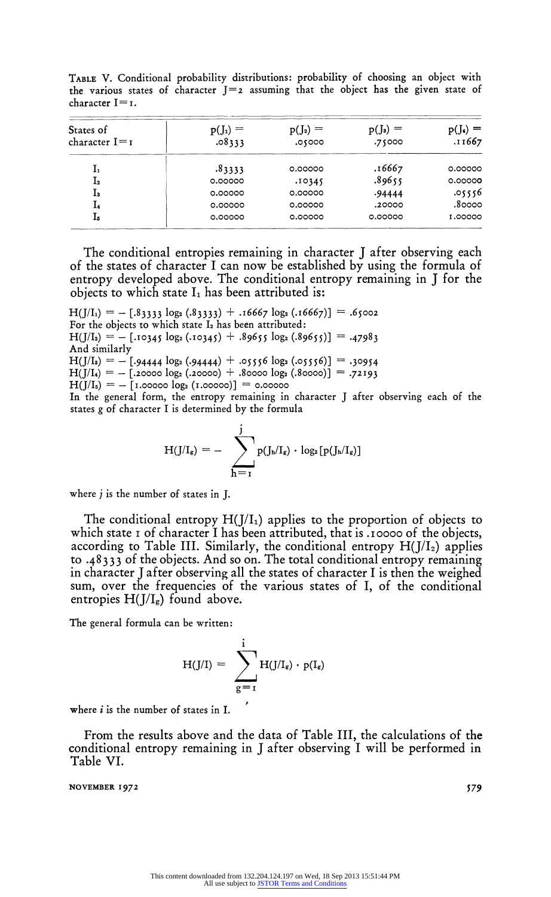**TABLE V. Conditional probability distributions: probability of choosing an object with**  the various states of character  $J=2$  assuming that the object has the given state of character  $I = I$ .

| States of<br>character $I = r$ | $p(J_1) =$<br>.08333 | $p(J_2) =$<br>.05000 | $p(J_3) =$<br>.75000 | $p(J_4) =$<br>.11667 |
|--------------------------------|----------------------|----------------------|----------------------|----------------------|
| Iı                             | .83333               | 0.00000              | .16667               | 0.00000              |
| I2                             | 0.00000              | .10345               | .89655               | 0.00000              |
| I2                             | 0.00000              | 0.00000              | .94444               | .05556               |
| Δ4                             | 0.00000              | 0.00000              | .20000               | $.8$ 0000            |
| L.                             | 0.00000              | 0.00000              | 0.00000              | 00000.1              |

**The conditional entropies remaining in character J after observing each of the states of character I can now be established by using the formula of entropy developed above. The conditional entropy remaining in J for the objects to which state I, has been attributed is:** 

 $H(J/I_1) = -$  [.83333  $log_2(.83333) + .16667 log_2(.16667)] = .65002$ **For the objects to which state 12 has been attributed: H(J/I2) = - [.IO345 log2 (.I0345)+ .89655 log2 (.89655)] = .47983 And similarly**   $H(J/I_2) = -$  [.94444  $\log_2$  (.94444) + .05556  $\log_2$  (.05556)] = .30954  $H(J/I_4) = -$  [.20000  $log_2$  (.20000)  $+$  .80000  $log_2$  (.80000)] = .72193  $H(J/I_5) = -$  [1.00000  $log_2$  (1.00000)] = 0.00000

**In the general form, the entropy remaining in character J after observing each of the states g of character I is determined by the formula** 

$$
H(J/I_g) = -\sum_{h=1}^{j} p(J_h/I_g) \cdot \log_2 [p(J_h/I_g)]
$$

**where i is the number of states in J.** 

**The conditional entropy H(J/I) applies to the proportion of objects to which state i of character I has been attributed, that is .i oooo of the objects, according to Table III. Similarly, the conditional entropy H(J/12) applies to .48333 of the objects. And so on. The total conditional entropy remaining in character J after observing all the states of character I is then the weighed sum, over the frequencies of the various states of I, of the conditional**  entropies  $H(J/I_g)$  found above.

**The general formula can be written:** 

$$
H(J/I) \,=\, \; \sum_{g\,=\,I}^I H(J/I_g) \cdot p(I_g)
$$

**where i is the number of states in I.** 

**From the results above and the data of Table III, the calculations of the conditional entropy remaining in J after observing I will be performed in Table VI.**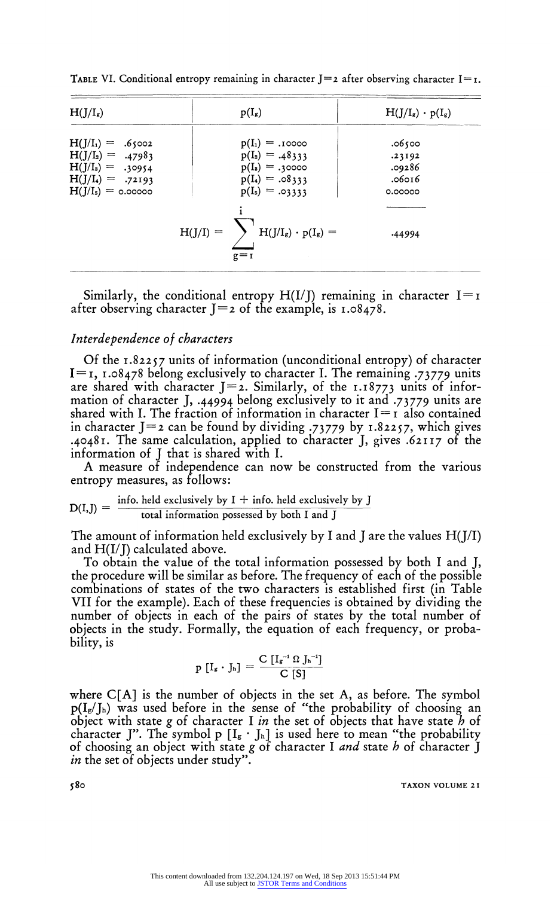| $H(J/I_s)$           | $p(I_g)$                                                           | $H(J/I_g) \cdot p(I_g)$ |
|----------------------|--------------------------------------------------------------------|-------------------------|
| $H(J/I_1) = .65002$  | $p(I_1) = .10000$                                                  | .06500                  |
| $H(J/I_2) = .47983$  | $p(I_2) = .48333$                                                  | .23192                  |
| $H(J/Is) = .30954$   | $p(I_3) = .30000$                                                  | .09286                  |
| $H(J/I_4) = .72193$  | $p(I_4) = .08333$                                                  | .06016                  |
| $H(J/I_5) = 0.00000$ | $p(I_5) = .03333$                                                  | 0.00000                 |
|                      | $\angle$ H(J/I <sub>s</sub> ) · p(I <sub>s</sub> ) =<br>$H(J/I) =$ | -44994                  |

**TABLE VI. Conditional entropy remaining in character**  $J=z$  **after observing character**  $I=i$ **.** 

Similarly, the conditional entropy  $H(I/J)$  remaining in character  $I = I$ **after observing character J=2 of the example, is 1.o08478.** 

## **Interdependence of characters**

**Of the 1.82257 units of information (unconditional entropy) of character I= I, 1.o08478 belong exclusively to character I. The remaining .73779 units are shared with character J=2. Similarly, of the I.I8773 units of information of character J, .44994 belong exclusively to it and .73779 units are shared with I. The fraction of information in character I= i also contained in character J=2 can be found by dividing .73779 by 1.82257, which gives .40481. The same calculation, applied to character J, gives .62117 of the information of J that is shared with I.** 

**A measure of independence can now be constructed from the various entropy measures, as follows:** 

$$
D(I,J) = \frac{\text{info. held exclusively by I + info. held exclusively by J}}{\text{total information possessed by both I and J}}
$$

**The amount of information held exclusively by I and J are the values H(J/I) and H(I/J) calculated above.** 

**To obtain the value of the total information possessed by both I and J, the procedure will be similar as before. The frequency of each of the possible combinations of states of the two characters is established first (in Table VII for the example). Each of these frequencies is obtained by dividing the number of objects in each of the pairs of states by the total number of objects in the study. Formally, the equation of each frequency, or probability, is** 

$$
p~[I_{\text{s}} \cdot J_{\text{h}}] = \frac{C~[I_{\text{s}}^{-1}~\Omega~J_{\text{h}}^{-1}]}{C~[S]}
$$

**where C[A] is the number of objects in the set A, as before. The symbol p(Ig/Jh) was used before in the sense of "the probability of choosing an object with state g of character I in the set of objects that have state h of character J". The symbol p [Ig, Jh] is used here to mean "the probability of choosing an object with state g of character I and state h of character J in the set of objects under study".**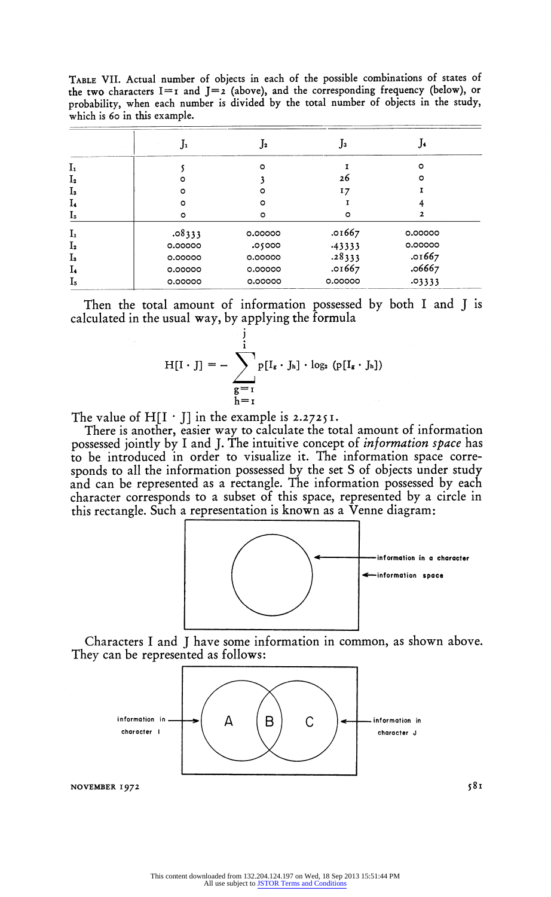**TABLE VII. Actual number of objects in each of the possible combinations of states of**  the two characters  $I=r$  and  $J=r$  (above), and the corresponding frequency (below), or **probability, when each number is divided by the total number of objects in the study, which is 60 in this example.** 

|                | .h      | J2.      | Jз       | J4      |
|----------------|---------|----------|----------|---------|
| I,             |         | o        |          | $\circ$ |
| I <sub>2</sub> | о       |          | 26       | Ο       |
| 13             | o       | o        | 17       |         |
| 14             | ۰       | $\Omega$ |          |         |
| $_{15}$        | $\circ$ | ٥        | ٥        |         |
| $I_1$          | .08333  | 0.00000  | .01667   | 0.00000 |
| I <sub>2</sub> | 0.00000 | .05000   | $-43333$ | 0.00000 |
| I <sub>3</sub> | 0.00000 | 0.00000  | .28333   | .01667  |
| I.             | 0.00000 | 0.00000  | .01667   | .06667  |
| I5             | 0.00000 | 0.00000  | 0.00000  | .03333  |

**Then the total amount of information possessed by both I and J is calculated in the usual way, by applying the formula** 

**1** 

$$
H[I \cdot J] = -\sum_{\substack{g=1 \ b = 1}}^{1} p[I_s \cdot J_h] \cdot \log_2 (p[I_s \cdot J_h])
$$

The value of  $H[I \cdot J]$  in the example is  $2.27251$ 

**There is another, easier way to calculate the total amount of information possessed jointly by I and J. The intuitive concept of information space has to be introduced in order to visualize it. The information space corresponds to all the information possessed by the set S of objects under study and can be represented as a rectangle. The information possessed by each character corresponds to a subset of this space, represented by a circle in this rectangle. Such a representation is known as a Venne diagram:** 



**Characters I and J have some information in common, as shown above. They can be represented as follows:** 

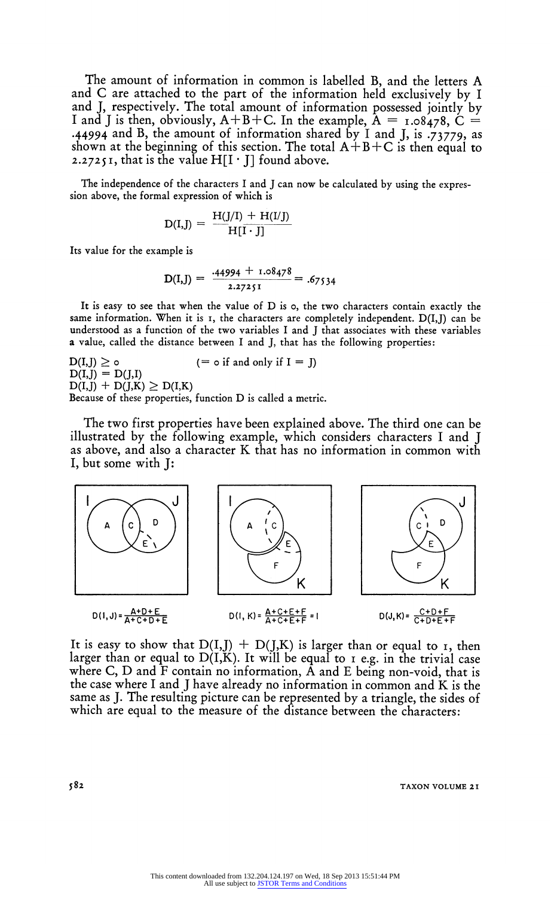**The amount of information in common is labelled B, and the letters A and C are attached to the part of the information held exclusively by I and J, respectively. The total amount of information possessed jointly by I** and **J** is then, obviously,  $A+B+C$ . In the example,  $A = 1.08478$ ,  $C =$ **.44994 and B, the amount of information shared by I and J, is .73779, as**  shown at the beginning of this section. The total  $A + B + C$  is then equal to **2.27251, that is the value**  $H[I \cdot J]$  **found above.** 

**The independence of the characters I and J can now be calculated by using the expression above, the formal expression of which is** 

$$
D(I,J) = \frac{H(J/I) + H(I/J)}{H[I \cdot J]}
$$

**Its value for the example is** 

$$
D(I,J) = \frac{.44994 + 1.08478}{2.27251} = .67534
$$

**It is easy to see that when the value of D is o, the two characters contain exactly the same information. When it is I, the characters are completely independent. D(I,J) can be understood as a function of the two variables I and J that associates with these variables a value, called the distance between I and J, that has the following properties:** 

 $D(I, J) \ge 0$  (= o if and only if  $I = J$ )  $D(I, J) = D(J, I)$  $D(I,J) + D(J,K) \ge D(I,K)$ **Because of these properties, function D is called a metric.** 

**The two first properties have been explained above. The third one can be illustrated by the following example, which considers characters I and J as above, and also a character K that has no information in common with I, but some with J:** 



It is easy to show that  $D(I, J) + D(J, K)$  is larger than or equal to  $I$ , then **larger than or equal to D(I,K). It will be equal to i e.g. in the trivial case where C, D and F contain no information, A and E being non-void, that is the case where I and J have already no information in common and K is the same as J. The resulting picture can be represented by a triangle, the sides of which are equal to the measure of the distance between the characters:**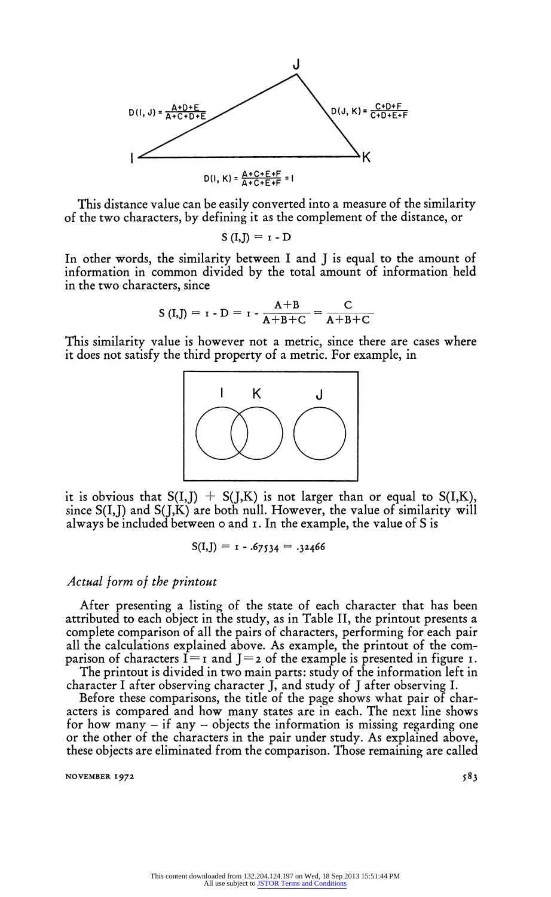

**This distance value can be easily converted into a measure of the similarity of the two characters, by defining it as the complement of the distance, or** 

$$
S(I,J) = I - D
$$

**In other words, the similarity between I and J is equal to the amount of information in common divided by the total amount of information held in the two characters, since** 

$$
S(I,J) = I - D = I - \frac{A+B}{A+B+C} = \frac{C}{A+B+C}
$$

**This similarity value is however not a metric, since there are cases where it does not satisfy the third property of a metric. For example, in** 



it is obvious that  $S(I,J) + S(J,K)$  is not larger than or equal to  $S(I,K)$ , **since S(I,J) and S(J,K) are both null. However, the value of similarity will always be included between o and I. In the example, the value of S is** 

$$
S(I,J) = I - .67534 = .32466
$$

## **Actual form of the printout**

**After presenting a listing of the state of each character that has been attributed to each object in the study, as in Table II, the printout presents a complete comparison of all the pairs of characters, performing for each pair all the calculations explained above. As example, the printout of the comparison of characters I=1 and J=2 of the example is presented in figure 1. The printout is divided in two main parts: study of the information left in** 

**character I after observing character J, and study of J after observing I. Before these comparisons, the title of the page shows what pair of char-**

**acters is compared and how many states are in each. The next line shows for how many - if any - objects the information is missing regarding one or the other of the characters in the pair under study. As explained above, these objects are eliminated from the comparison. Those remaining are called**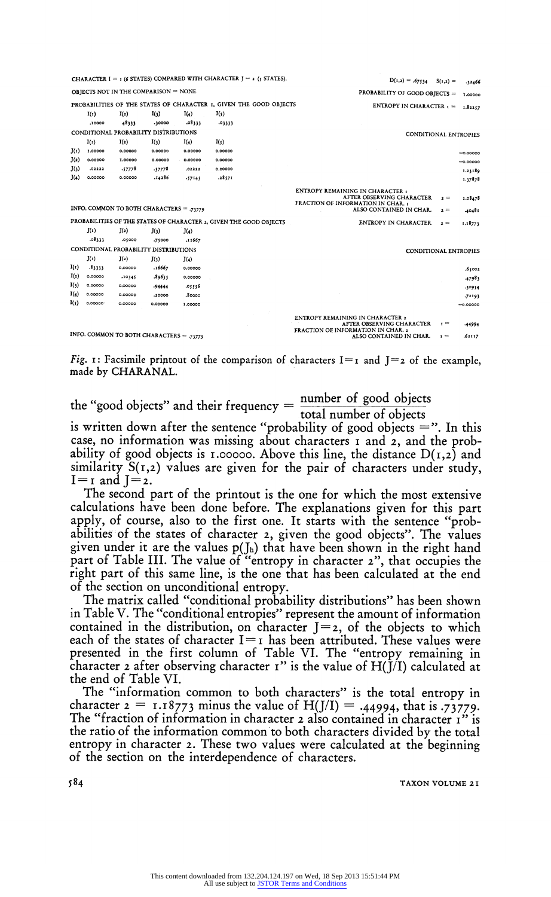|              |                    |                    |                                          |          | CHARACTER I = $_1$ (6 STATES) COMPARED WITH CHARACTER J = $_2$ (5 STATES). | $D(r, z) = .67534$<br>$S(1,2) =$<br>-32466                                                                                                                                     |
|--------------|--------------------|--------------------|------------------------------------------|----------|----------------------------------------------------------------------------|--------------------------------------------------------------------------------------------------------------------------------------------------------------------------------|
|              |                    |                    | OBJECTS NOT IN THE COMPARISON = NONE     |          |                                                                            | PROBABILITY OF GOOD OBJECTS =<br>1,00000                                                                                                                                       |
|              |                    |                    |                                          |          | PROBABILITIES OF THE STATES OF CHARACTER 1, GIVEN THE GOOD OBJECTS         | ENTROPY IN CHARACTER $_1$ =<br>1.82257                                                                                                                                         |
|              | I(1)               | I(z)               | I(3)                                     | I(4)     | I(s)                                                                       |                                                                                                                                                                                |
|              | .10000             | 48333              | .30000                                   | .08333   | .03333                                                                     |                                                                                                                                                                                |
|              |                    |                    | CONDITIONAL PROBABILITY DISTRIBUTIONS    |          |                                                                            | <b>CONDITIONAL ENTROPIES</b>                                                                                                                                                   |
|              | I(t)               | I(z)               | I(3)                                     | I(4)     | I(s)                                                                       |                                                                                                                                                                                |
| J(r)         | 1.00000            | 0.00000            | 0.00000                                  | 0.00000  | 0.00000                                                                    | $-0.00000$                                                                                                                                                                     |
| J(z)         | 0.00000            | 1.00000            | 0.00000                                  | 0.00000  | 0.00000                                                                    | $-0.00000$                                                                                                                                                                     |
| J(3)         | .02222             | .57778             | .37778                                   | .02222   | 0.00000                                                                    | 1.23189                                                                                                                                                                        |
| J(4)         | 0.00000            | 0.00000            | .14286                                   | $-17141$ | .28571                                                                     | 1.37878                                                                                                                                                                        |
|              |                    |                    | INFO. COMMON TO BOTH CHARACTERS = .71779 |          |                                                                            | ENTROPY REMAINING IN CHARACTER 1<br>AFTER OBSERVING CHARACTER<br>$\mathbf{r} =$<br>1.08478<br>FRACTION OF INFORMATION IN CHAR. 1<br>ALSO CONTAINED IN CHAR.<br>$2 =$<br>-40481 |
|              |                    |                    |                                          |          | PROBABILITIES OF THE STATES OF CHARACTER 2, GIVEN THE GOOD OBJECTS         | ENTROPY IN CHARACTER<br>$2 =$<br>1.18773                                                                                                                                       |
|              | J(i)               | J(z)               | J(3)                                     | J(4)     |                                                                            |                                                                                                                                                                                |
|              | .08333             | .05000             | .75000                                   | .11667   |                                                                            |                                                                                                                                                                                |
|              |                    |                    | CONDITIONAL PROBABILITY DISTRIBUTIONS    |          |                                                                            | <b>CONDITIONAL ENTROPIES</b>                                                                                                                                                   |
|              | J(r)               | J(z)               | J(3)                                     | J(4)     |                                                                            |                                                                                                                                                                                |
| I(r)<br>I(2) | .83333             | 0.00000            | .16667                                   | 0.00000  |                                                                            | .65002                                                                                                                                                                         |
| I(3)         | 0.00000<br>0.00000 | .10345             | .89655                                   | 0.00000  |                                                                            | -47983                                                                                                                                                                         |
| I(4)         | 0.00000            | 0.00000<br>0.00000 | .94444                                   | 05556    |                                                                            | -30954                                                                                                                                                                         |
| I(s)         | 0.00000            | 0.00000            | .20000<br>0.00000                        | .80000   |                                                                            | -72193                                                                                                                                                                         |
|              |                    |                    |                                          | 1.00000  |                                                                            | $-0.00000$                                                                                                                                                                     |
|              |                    |                    | INFO. COMMON TO BOTH CHARACTERS = .73779 |          |                                                                            | <b>ENTROPY REMAINING IN CHARACTER 2</b><br>AFTER OBSERVING CHARACTER<br>$1 =$<br>-44994<br>FRACTION OF INFORMATION IN CHAR. 2                                                  |
|              |                    |                    |                                          |          |                                                                            | ALSO CONTAINED IN CHAR.<br>.62117<br>$1 -$                                                                                                                                     |

Fig. 1: Facsimile printout of the comparison of characters  $I = I$  and  $J = 2$  of the example, **made by CHARANAL.** 

 $\text{the "good objects" and their frequency} = \frac{\text{number of good objects}}{\text{total number of objects}}$ 

**is written down after the sentence "probability of good objects =". In this case, no information was missing about characters i and 2, and the prob**ability of good objects is 1.00000. Above this line, the distance  $D(1,2)$  and **similarity S(I,2) values are given for the pair of characters under study,**   $I = r$  and  $J = 2$ .

**The second part of the printout is the one for which the most extensive calculations have been done before. The explanations given for this part apply, of course, also to the first one. It starts with the sentence "probabilities of the states of character 2, given the good objects". The values given under it are the values p(Jh) that have been shown in the right hand part of Table III. The value of "entropy in character 2", that occupies the right part of this same line, is the one that has been calculated at the end of the section on unconditional entropy.** 

**The matrix called "conditional probability distributions" has been shown in Table V. The "conditional entropies" represent the amount of information**  contained in the distribution, on character  $J=z$ , of the objects to which each of the states of character  $I=r$  has been attributed. These values were **presented in the first column of Table VI. The "entropy remaining in character 2 after observing character i" is the value of H(J/I) calculated at the end of Table VI.** 

**The "information common to both characters" is the total entropy in character 2** =  $1.18773$  minus the value of  $H(J/I) = .44994$ , that is .73779. **The "fraction of information in character 2 also contained in character i" is the ratio of the information common to both characters divided by the total entropy in character 2. These two values were calculated at the beginning of the section on the interdependence of characters.**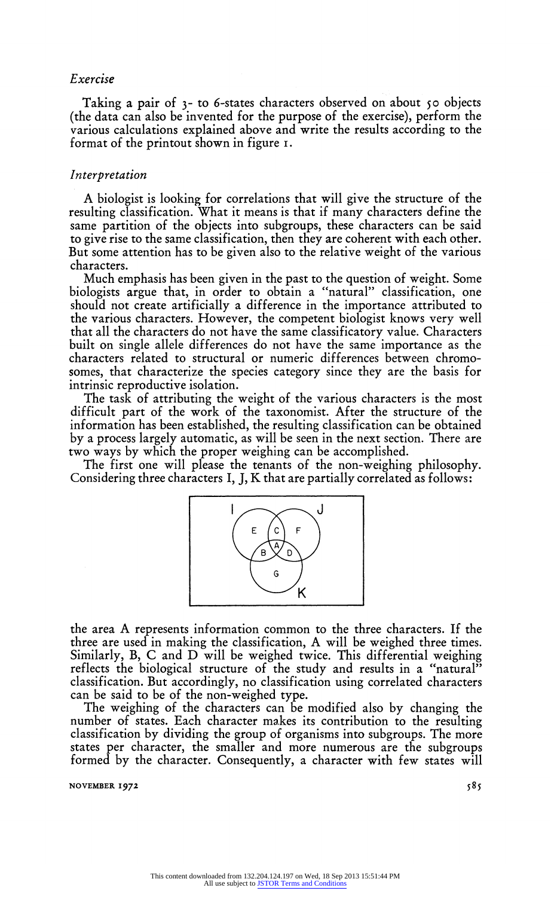## **Exercise**

**Taking a pair of 3- to 6-states characters observed on about 5o objects (the data can also be invented for the purpose of the exercise), perform the various calculations explained above and write the results according to the format of the printout shown in figure I.** 

## **Interpretation**

**A biologist is looking for correlations that will give the structure of the resulting classification. What it means is that if many characters define the same partition of the objects into subgroups, these characters can be said to give rise to the same classification, then they are coherent with each other. But some attention has to be given also to the relative weight of the various characters.** 

**Much emphasis has been given in the past to the question of weight. Some biologists argue that, in order to obtain a "natural" classification, one should not create artificially a difference in the importance attributed to the various characters. However, the competent biologist knows very well that all the characters do not have the same classificatory value. Characters built on single allele differences do not have the same importance as the characters related to structural or numeric differences between chromosomes, that characterize the species category since they are the basis for intrinsic reproductive isolation.** 

**The task of attributing the weight of the various characters is the most difficult part of the work of the taxonomist. After the structure of the information has been established, the resulting classification can be obtained by a process largely automatic, as will be seen in the next section. There are two ways by which the proper weighing can be accomplished.** 

**The first one will please the tenants of the non-weighing philosophy. Considering three characters I, J, K that are partially correlated as follows:** 



**the area A represents information common to the three characters. If the three are used in making the classification, A will be weighed three times. Similarly, B, C and D will be weighed twice. This differential weighing reflects the biological structure of the study and results in a "natural" classification. But accordingly, no classification using correlated characters can be said to be of the non-weighed type.** 

**The weighing of the characters can be modified also by changing the number of states. Each character makes its contribution to the resulting classification by dividing the group of organisms into subgroups. The more states per character, the smaller and more numerous are the subgroups formed by the character. Consequently, a character with few states will**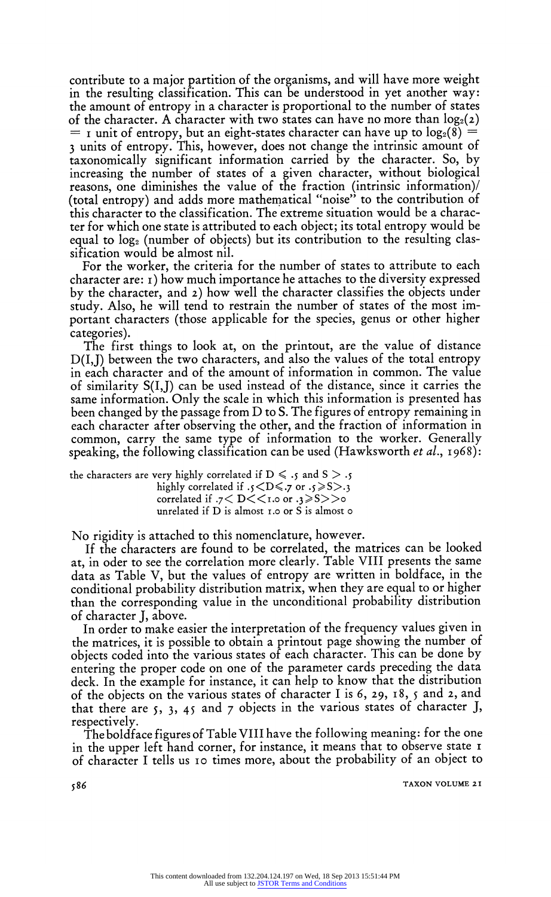**contribute to a major partition of the organisms, and will have more weight in the resulting classification. This can be understood in yet another way: the amount of entropy in a character is proportional to the number of states**  of the character. A character with two states can have no more than  $log_2(z)$  $=$  **i** unit of entropy, but an eight-states character can have up to  $log_2(8) =$ **3 units of entropy. This, however, does not change the intrinsic amount of taxonomically significant information carried by the character. So, by increasing the number of states of a given character, without biological reasons, one diminishes the value of the fraction (intrinsic information)/ (total entropy) and adds more mathematical "noise" to the contribution of this character to the classification. The extreme situation would be a character for which one state is attributed to each object; its total entropy would be**  equal to  $log_2$  (number of objects) but its contribution to the resulting clas**sification would be almost nil.** 

**For the worker, the criteria for the number of states to attribute to each character are: I) how much importance he attaches to the diversity expressed by the character, and 2) how well the character classifies the objects under study. Also, he will tend to restrain the number of states of the most important characters (those applicable for the species, genus or other higher categories).** 

**The first things to look at, on the printout, are the value of distance D(I,J) between the two characters, and also the values of the total entropy in each character and of the amount of information in common. The value of similarity S(I,J) can be used instead of the distance, since it carries the same information. Only the scale in which this information is presented has been changed by the passage from D to S. The figures of entropy remaining in each character after observing the other, and the fraction of information in common, carry the same type of information to the worker. Generally speaking, the following classification can be used (Hawksworth et al., 1968):** 

the characters are very highly correlated if  $D \leqslant .5$  and  $S > .5$ **highly correlated if .5<D<.7 or .5> S>.3 correlated if .7< D<< r.0 or .3>>>>>>>> unrelated if D is almost i.o or S is almost o** 

**No rigidity is attached to this nomenclature, however.** 

**If the characters are found to be correlated, the matrices can be looked at, in oder to see the correlation more clearly. Table VIII presents the same data as Table V, but the values of entropy are written in boldface, in the conditional probability distribution matrix, when they are equal to or higher than the corresponding value in the unconditional probability distribution of character J, above.** 

**In order to make easier the interpretation of the frequency values given in the matrices, it is possible to obtain a printout page showing the number of objects coded into the various states of each character. This can be done by entering the proper code on one of the parameter cards preceding the data deck. In the example for instance, it can help to know that the distribution of the objects on the various states of character I is 6, 29, 18, 5 and 2, and that there are 5, 3, 45 and 7 objects in the various states of character J, respectively.** 

**Theboldface figures of Table VIII have the following meaning: for the one in the upper left hand corner, for instance, it means that to observe state I of character I tells us io times more, about the probability of an object to**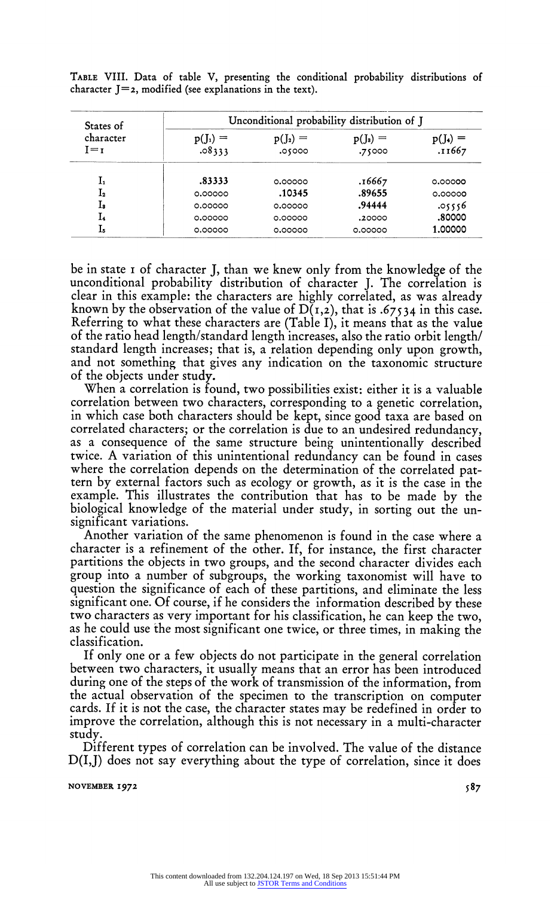| States of            |                      |                      | Unconditional probability distribution of I |                      |
|----------------------|----------------------|----------------------|---------------------------------------------|----------------------|
| character<br>$I = I$ | $p(J_1) =$<br>.08333 | $p(J_2) =$<br>.05000 | $p(J_s) =$<br>.75000                        | $p(J_4) =$<br>.11667 |
| I,                   | .83333               | 0.00000              | .16667                                      | 0.00000              |
| $I_{2}$              | 0.00000              | .10345               | .89655                                      | 0.00000              |
| Is                   | 0.00000              | 0.00000              | .94444                                      | .05556               |
| I.                   | 0.00000              | 0.00000              | .20000                                      | .80000               |
| Is                   | 0.00000              | 0.00000              | 0.00000                                     | 1.00000              |

**TABLE VIII. Data of table V, presenting the conditional probability distributions of character J=2, modified (see explanations in the text).** 

**be in state i of character J, than we knew only from the knowledge of the unconditional probability distribution of character J. The correlation is clear in this example: the characters are highly correlated, as was already**  known by the observation of the value of  $D(1,2)$ , that is .67534 in this case. **Referring to what these characters are (Table I), it means that as the value of the ratio head length/standard length increases, also the ratio orbit length/ standard length increases; that is, a relation depending only upon growth, and not something that gives any indication on the taxonomic structure** 

When a correlation is found, two possibilities exist: either it is a valuable **correlation between two characters, corresponding to a genetic correlation, in which case both characters should be kept, since good taxa are based on correlated characters; or the correlation is due to an undesired redundancy, as a consequence of the same structure being unintentionally described twice. A variation of this unintentional redundancy can be found in cases where the correlation depends on the determination of the correlated pattern by external factors such as ecology or growth, as it is the case in the example. This illustrates the contribution that has to be made by the biological knowledge of the material under study, in sorting out the unsignificant variations.** 

**Another variation of the same phenomenon is found in the case where a character is a refinement of the other. If, for instance, the first character partitions the objects in two groups, and the second character divides each group into a number of subgroups, the working taxonomist will have to question the significance of each of these partitions, and eliminate the less significant one. Of course, if he considers the information described by these two characters as very important for his classification, he can keep the two, as he could use the most significant one twice, or three times, in making the classification.** 

**If only one or a few objects do not participate in the general correlation between two characters, it usually means that an error has been introduced during one of the steps of the work of transmission of the information, from the actual observation of the specimen to the transcription on computer cards. If it is not the case, the character states may be redefined in order to improve the correlation, although this is not necessary in a multi-character study.** 

**Different types of correlation can be involved. The value of the distance D(I,J) does not say everything about the type of correlation, since it does**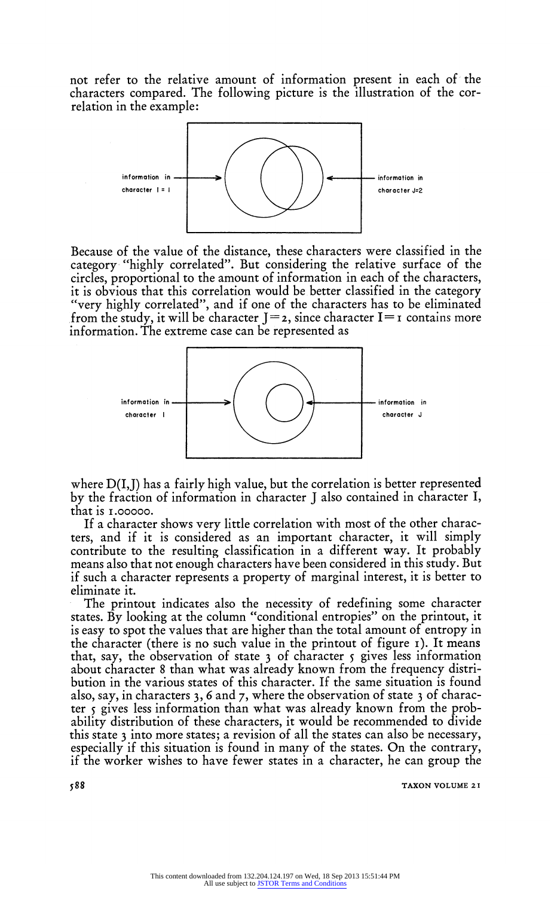**not refer to the relative amount of information present in each of the characters compared. The following picture is the illustration of the correlation in the example:** 



Because of the value of the distance, these characters were classified in the category "highly correlated". But considering the relative surface of the circles, proportional to the amount of information in each of the characters, it is obvious that this correlation would be better classified in the category "very highly correlated", and if one of the characters has to be eliminated from the study, it will be character  $J = 2$ , since character  $I = I$  contains more information. The extreme case can be represented as



**where D(I,J) has a fairly high value, but the correlation is better represented by the fraction of information in character J also contained in character I, that is I.ooooo.** 

**If a character shows very little correlation with most of the other characters, and if it is considered as an important character, it will simply contribute to the resulting classification in a different way. It probably means also that not enough characters have been considered in this study. But if such a character represents a property of marginal interest, it is better to eliminate it.** 

**The printout indicates also the necessity of redefining some character states. By looking at the column "conditional entropies" on the printout, it is easy to spot the values that are higher than the total amount of entropy in the character (there is no such value in the printout of figure i). It means that, say, the observation of state 3 of character 5 gives less information about character 8 than what was already known from the frequency distribution in the various states of this character. If the same situation is found also, say, in characters 3, 6 and 7, where the observation of state 3 of character 5 gives less information than what was already known from the probability distribution of these characters, it would be recommended to divide this state 3 into more states; a revision of all the states can also be necessary, especially if this situation is found in many of the states. On the contrary, if the worker wishes to have fewer states in a character, he can group the** 

**S88 TAXON VOLUME 21**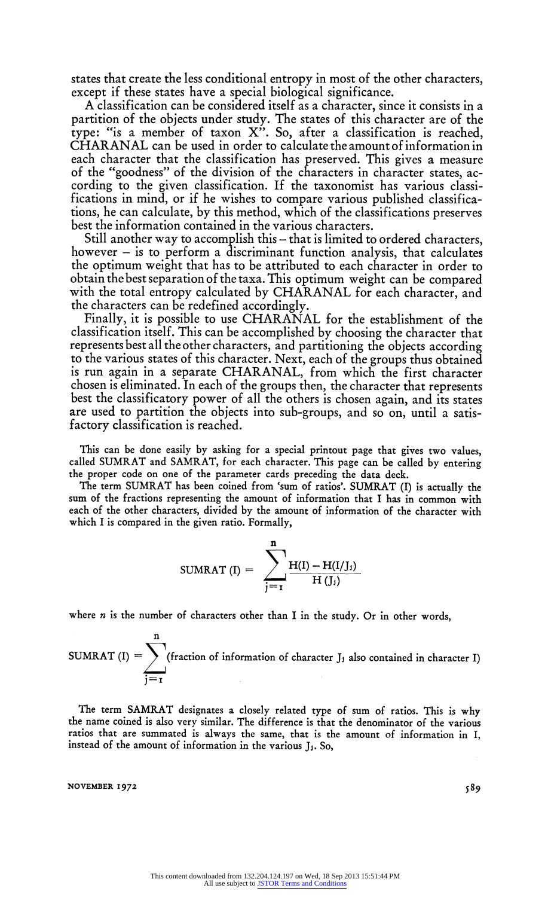**states that create the less conditional entropy in most of the other characters,** 

**except if these states have a special biological significance. A classification can be considered itself as a character, since it consists in a partition of the objects under study. The states of this character are of the type: "is a member of taxon X". So, after a classification is reached, CHARANAL can be used in order to calculate the amount of information in each character that the classification has preserved. This gives a measure of the "goodness" of the division of the characters in character states, according to the given classification. If the taxonomist has various classifications in mind, or if he wishes to compare various published classifications, he can calculate, by this method, which of the classifications preserves best the information contained in the various characters.** 

**Still another way to accomplish this - that is limited to ordered characters, however - is to perform a discriminant function analysis, that calculates the optimum weight that has to be attributed to each character in order to obtain the best separation of the taxa. This optimum weight can be compared with the total entropy calculated by CHARANAL for each character, and the characters can be redefined accordingly.** 

**Finally, it is possible to use CHARANAL for the establishment of the classification itself. This can be accomplished by choosing the character that**  to the various states of this character. Next, each of the groups thus obtained **is run again in a separate CHARANAL, from which the first character chosen is eliminated. In each of the groups then, the character that represents best the classificatory power of all the others is chosen again, and its states are used to partition the objects into sub-groups, and so on, until a satis**factory classification is reached.

**This can be done easily by asking for a special printout page that gives two values, called SUMRAT and SAMRAT, for each character. This page can be called by entering the proper code on one of the parameter cards preceding the data deck.** 

**The term SUMRAT has been coined from 'sum of ratios'. SUMRAT (I) is actually the sum of the fractions representing the amount of information that I has in common with each of the other characters, divided by the amount of information of the character with which I is compared in the given ratio. Formally,** 

SUMRAT (I) = 
$$
\sum_{j=1}^{n} \frac{H(I) - H(I/J_1)}{H(J_1)}
$$

**where n is the number of characters other than I in the study. Or in other words,** 

SUMRAT (I) = 
$$
\sum_{j=1}^{n}
$$
(fraction of information of character J<sub>j</sub> also contained in character I)

**The term SAMRAT designates a closely related type of sum of ratios. This is why the name coined is also very similar. The difference is that the denominator of the various ratios that are summated is always the same, that is the amount of information in I,**  instead of the amount of information in the various J<sub>1</sub>. So,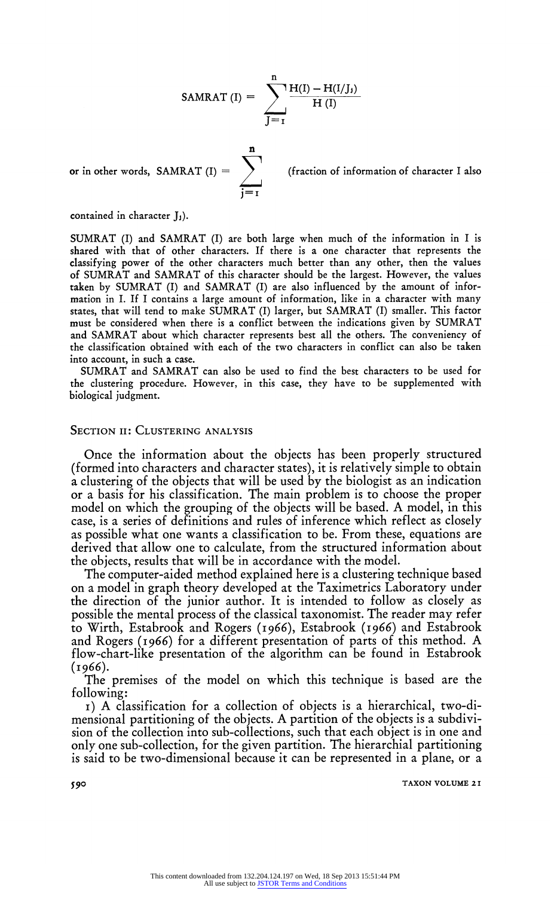SAMRAT (I) = 
$$
\sum_{J=\tau}^{n} \frac{H(I) - H(I/J_{J})}{H(I)}
$$

**n** 

**j=I** 

**or in other words, SAMRAT** (I) =  $\qquad$  (fraction of information of character I also

**contained in character Ji).** 

**SUMRAT (I) and SAMRAT (I) are both large when much of the information in I is shared with that of other characters. If there is a one character that represents the classifying power of the other characters much better than any other, then the values of SUMRAT and SAMRAT of this character should be the largest. However, the values taken by SUMRAT (I) and SAMRAT (I) are also influenced by the amount of information in I. If I contains a large amount of information, like in a character with many states, that will tend to make SUMRAT (I) larger, but SAMRAT (I) smaller. This factor must be considered when there is a conflict between the indications given by SUMRAT and SAMRAT about which character represents best all the others. The conveniency of the classification obtained with each of the two characters in conflict can also be taken into account, in such a case.** 

**SUMRAT and SAMRAT can also be used to find the best characters to be used for the clustering procedure. However, in this case, they have to be supplemented with biological judgment.** 

## **SECTION II: CLUSTERING ANALYSIS**

**Once the information about the objects has been properly structured (formed into characters and character states), it is relatively simple to obtain a clustering of the objects that will be used by the biologist as an indication or a basis for his classification. The main problem is to choose the proper model on which the grouping of the objects will be based. A model, in this case, is a series of definitions and rules of inference which reflect as closely as possible what one wants a classification to be. From these, equations are derived that allow one to calculate, from the structured information about the objects, results that will be in accordance with the model.** 

**The computer-aided method explained here is a clustering technique based on a model in graph theory developed at the Taximetrics Laboratory under the direction of the junior author. It is intended to follow as closely as possible the mental process of the classical taxonomist. The reader may refer to Wirth, Estabrook and Rogers (1966), Estabrook (i966) and Estabrook and Rogers (1966) for a different presentation of parts of this method. A flow-chart-like presentation of the algorithm can be found in Estabrook (1966).** 

**The premises of the model on which this technique is based are the following:** 

**i) A classification for a collection of objects is a hierarchical, two-dimensional partitioning of the objects. A partition of the objects is a subdivision of the collection into sub-collections, such that each object is in one and only one sub-collection, for the given partition. The hierarchial partitioning is said to be two-dimensional because it can be represented in a plane, or a**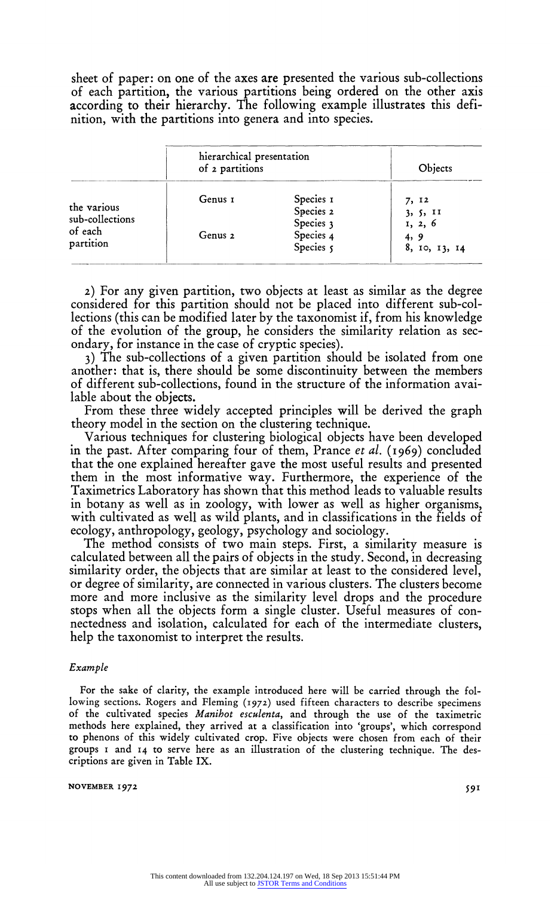**sheet of paper: on one of the axes are presented the various sub-collections of each partition, the various partitions being ordered on the other axis according to their hierarchy. The following example illustrates this definition, with the partitions into genera and into species.** 

|                                | hierarchical presentation<br>of 2 partitions | Objects                             |                              |
|--------------------------------|----------------------------------------------|-------------------------------------|------------------------------|
| the various<br>sub-collections | Genus 1                                      | Species 1<br>Species 2<br>Species 3 | 7, 12<br>3, 5, 11<br>1, 2, 6 |
| of each<br>partition           | Genus <sub>2</sub>                           | Species 4<br>Species 5              | 4, 9<br>8, 10, 13, 14        |

**2) For any given partition, two objects at least as similar as the degree considered for this partition should not be placed into different sub-collections (this can be modified later by the taxonomist if, from his knowledge of the evolution of the group, he considers the similarity relation as secondary, for instance in the case of cryptic species).** 

**3) The sub-collections of a given partition should be isolated from one another: that is, there should be some discontinuity between the members of different sub-collections, found in the structure of the information available about the objects.** 

**From these three widely accepted principles will be derived the graph theory model in the section on the clustering technique.** 

**Various techniques for clustering biological objects have been developed in the past. After comparing four of them, Prance et al. (1969) concluded that the one explained hereafter gave the most useful results and presented them in the most informative way. Furthermore, the experience of the Taximetrics Laboratory has shown that this method leads to valuable results in botany as well as in zoology, with lower as well as higher organisms, with cultivated as well as wild plants, and in classifications in the fields of ecology, anthropology, geology, psychology and sociology.** 

**The method consists of two main steps. First, a similarity measure is calculated between all the pairs of objects in the study. Second, in decreasing similarity order, the objects that are similar at least to the considered level, or degree of similarity, are connected in various clusters. The clusters become more and more inclusive as the similarity level drops and the procedure stops when all the objects form a single cluster. Useful measures of connectedness and isolation, calculated for each of the intermediate clusters, help the taxonomist to interpret the results.** 

## **Example**

**For the sake of clarity, the example introduced here will be carried through the following sections. Rogers and Fleming (1972) used fifteen characters to describe specimens of the cultivated species Manihot esculenta, and through the use of the taximetric methods here explained, they arrived at a classification into 'groups', which correspond to phenons of this widely cultivated crop. Five objects were chosen from each of their groups I and 14 to serve here as an illustration of the clustering technique. The descriptions are given in Table IX.**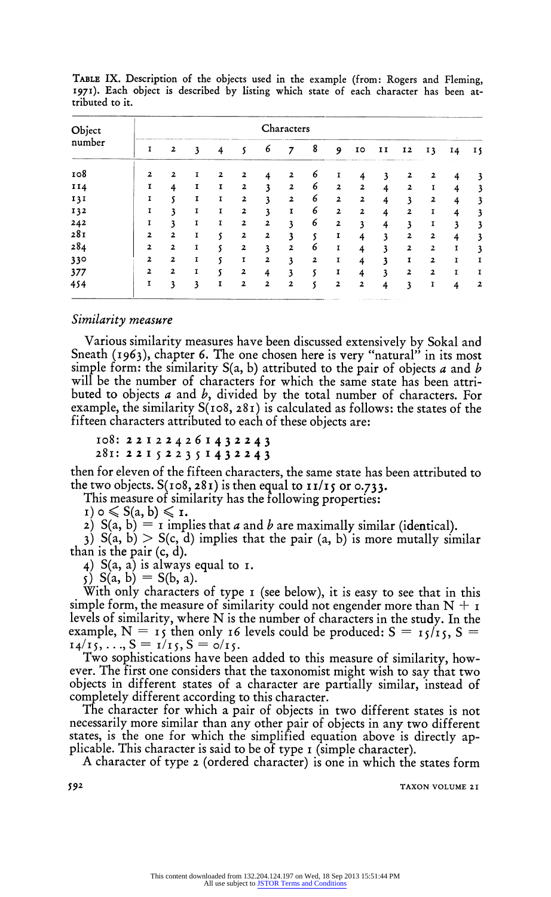| Object |              |                         |                     |   |                         |                         | Characters              |   |                         |                         |                     |                         |                | $\sim$ |              |
|--------|--------------|-------------------------|---------------------|---|-------------------------|-------------------------|-------------------------|---|-------------------------|-------------------------|---------------------|-------------------------|----------------|--------|--------------|
| number | 1            | $\overline{\mathbf{2}}$ | 3                   | 4 | ٢                       | 6                       | 7                       | 8 | 9                       | 10                      | 11                  | 12                      | 13             | 14     | 15           |
| 108    | $\mathbf{2}$ | $\overline{2}$          |                     | 2 | $\mathbf{2}$            | 4                       | $\mathbf{2}$            | 6 | 1                       | 4                       |                     |                         |                | 4      |              |
| 114    |              | 4                       | 1                   | 1 | $\overline{2}$          | $\overline{\mathbf{3}}$ | $\overline{\mathbf{2}}$ | 6 | $\overline{\mathbf{2}}$ | $\mathbf{2}$            | $\overline{4}$      | $\overline{\mathbf{2}}$ | 1              | 4      |              |
| 131    |              | ٢                       |                     | 1 | $\mathbf{2}$            | 3                       | $\overline{2}$          | 6 | $\overline{\mathbf{2}}$ | $\overline{\mathbf{2}}$ | 4                   | 3                       | $\mathbf{2}$   | 4      |              |
| 132    |              | 3                       |                     | 1 | $\mathbf{2}$            | 3                       | I                       | 6 | $\overline{2}$          | $\mathbf{2}$            | 4                   | $\overline{2}$          | 1              | 4      |              |
| 242    |              | 3                       |                     | 1 | $\mathbf{2}$            | $\mathbf{z}$            | 3                       | 6 | $\mathbf{z}$            | 3                       | 4                   | 3                       | I              | 3      |              |
| 28I    | $\mathbf{2}$ | $\mathbf{2}$            |                     |   | $\mathbf{2}$            | $\overline{2}$          | 3                       |   | 1                       | 4                       | 3                   | $\mathbf{z}$            | $\mathbf{2}$   | 4      |              |
| 284    | $\mathbf{2}$ | $\mathbf{2}$            |                     |   | $\overline{\mathbf{2}}$ | $\overline{\mathbf{3}}$ | $\mathbf{2}$            | 6 | I                       | 4                       | 3                   | $\mathbf{2}$            | $\overline{2}$ | I      |              |
| 330    | $\mathbf{z}$ | $\overline{2}$          |                     |   | I                       | $\mathbf{z}$            | $\ddot{\mathbf{3}}$     | 2 | 1                       | 4                       | 3                   | 1                       | $\mathbf{2}$   | I      |              |
| 377    | $\mathbf{z}$ | $\overline{2}$          |                     |   | 2                       | 4                       | 3                       | 5 | 1                       | 4                       | $\ddot{\mathbf{3}}$ | $\mathbf{z}$            | $\mathbf{2}$   | I      |              |
| 454    |              | 3                       | $\ddot{\mathbf{3}}$ | 1 | $\overline{\mathbf{2}}$ | $\overline{2}$          | $\mathbf{2}$            | ٢ | $\mathbf{2}$            | $\overline{\mathbf{2}}$ | 4                   | 3                       | 1              | 4      | $\mathbf{2}$ |

**TABLE IX. Description of the objects used in the example (from: Rogers and Fleming, 1971). Each object is described by listing which state of each character has been attributed to it.** 

## **Similarity measure**

**Various similarity measures have been discussed extensively by Sokal and Sneath (1963), chapter 6. The one chosen here is very "natural" in its most simple form: the similarity S(a, b) attributed to the pair of objects a and b will be the number of characters for which the same state has been attributed to objects a and b, divided by the total number of characters. For example, the similarity S(io8, 281) is calculated as follows: the states of the fifteen characters attributed to each of these objects are:** 

**IO8: 221224261432243 281: 221522351432243** 

**then for eleven of the fifteen characters, the same state has been attributed to the two objects. S(io8, 281) is then equal to II/I5 or 0.733. This measure of similarity has the following properties:** 

 $I)$   $\circ$   $\leqslant$   $S(a, b)$   $\leqslant$  **I**.

**2)**  $S(a, b) = I$  implies that a and b are maximally similar (identical).

**3) S(a, b) > S(c, d) implies that the pair (a, b) is more mutally similar than is the pair (c, d).** 

**4) S(a, a) is always equal to i.** 

**5) S(a, b) <sup>=</sup>S(b, a).** 

With only characters of type **i** (see below), it is easy to see that in this simple form, the measure of similarity could not engender more than  $N + I$ levels of similarity, where N is the number of characters in the study. In the **example, N** = **15** then only **16** levels could be produced:  $S = \frac{15}{15}$ ,  $S = \frac{15}{15}$ ,  $S = \frac{15}{15}$  $\mathbf{14/15}, \ldots, \mathbf{S} = \mathbf{1/15}, \mathbf{S} = \mathsf{o}/\mathbf{15}$ 

**Two sophistications have been added to this measure of similarity, however. The first one considers that the taxonomist might wish to say that two objects in different states of a character are partially similar, instead of completely different according to this character.** 

**The character for which a pair of objects in two different states is not necessarily more similar than any other pair of objects in any two different states, is the one for which the simplified equation above is directly applicable. This character is said to be of type i (simple character). A character of type 2 (ordered character) is one in which the states form**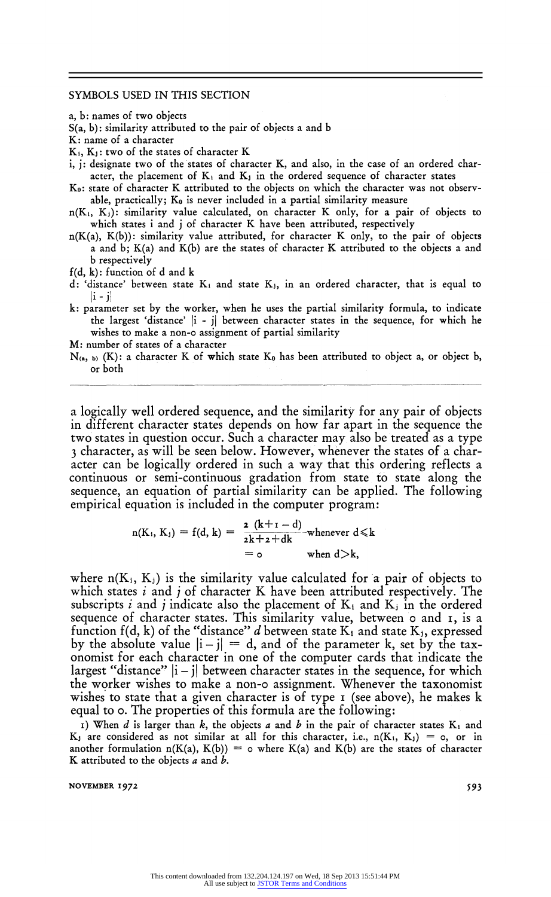#### **SYMBOLS USED IN THIS SECTION**

**a, b: names of two objects** 

**S(a, b): similarity attributed to the pair of objects a and b** 

- **K: name of a character**
- **K1, Kj: two of the states of character K**
- **i, j: designate two of the states of character K, and also, in the case of an ordered char**acter, the placement of  $K_i$  and  $K_j$  in the ordered sequence of character states
- **Ko: state of character K attributed to the objects on which the character was not observable, practically; Ko is never included in a partial similarity measure**
- **n(Ki, Ki): similarity value calculated, on character K only, for a pair of objects to which states i and j of character K have been attributed, respectively**
- **n(K(a), K(b)): similarity value attributed, for character K only, to the pair of objects a and b; K(a) and K(b) are the states of character K attributed to the objects a and b respectively**
- **f(d, k): function of d and k**
- d: 'distance' between state  $K_i$  and state  $K_j$ , in an ordered character, that is equal to  $|i - j|$
- **k: parameter set by the worker, when he uses the partial similarity formula, to indicate the largest 'distance' ii - j| between character states in the sequence, for which he wishes to make a non-o assignment of partial similarity**

**M: number of states of a character** 

**N(a, b) (K): a character K of which state Ko has been attributed to object a, or object b, or both** 

**a logically well ordered sequence, and the similarity for any pair of objects in different character states depends on how far apart in the sequence the two states in question occur. Such a character may also be treated as a type 3 character, as will be seen below. However, whenever the states of a character can be logically ordered in such a way that this ordering reflects a continuous or semi-continuous gradation from state to state along the sequence, an equation of partial similarity can be applied. The following empirical equation is included in the computer program:** 

$$
n(K_1, K_1) = f(d, k) = \frac{2 (k+r-d)}{2k+2+dk}
$$
 whenever  $d \le k$   
= 0 when  $d > k$ ,

**where n(Ki, Kj) is the similarity value calculated for a pair of objects to which states i and j of character K have been attributed respectively. The**  subscripts *i* and *j* indicate also the placement of  $K_i$  and  $K_j$  in the ordered **sequence of character states. This similarity value, between o and I, is a function f(d, k) of the "distance" d between state Ki and state Kj, expressed**  by the absolute value  $|i - j| = d$ , and of the parameter k, set by the tax**onomist for each character in one of the computer cards that indicate the largest "distance" Ii - jI between character states in the sequence, for which the worker wishes to make a non-o assignment. Whenever the taxonomist wishes to state that a given character is of type i (see above), he makes k equal to o. The properties of this formula are the following:** 

 $i$ ) When *d* is larger than *k*, the objects *a* and *b* in the pair of character states  $K_1$  and  $K_j$  are considered as not similar at all for this character, i.e.,  $n(K_i, K_j) = o$ , or in another formulation  $n(K(a), K(b)) = o$  where  $K(a)$  and  $K(b)$  are the states of character **K attributed to the objects a and b.**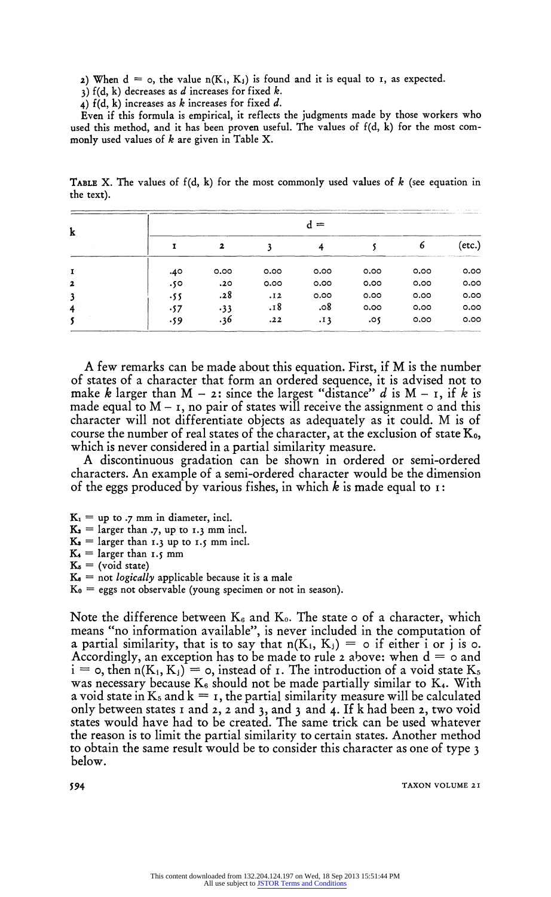**2)** When  $d = 0$ , the value  $n(K_1, K_1)$  is found and it is equal to  $\mathbf{r}$ , as expected.

- **3) f(d, k) decreases as d increases for fixed k.**
- **4) f(d, k) increases as k increases for fixed d.**

**Even if this formula is empirical, it reflects the judgments made by those workers who used this method, and it has been proven useful. The values of f(d, k) for the most commonly used values of k are given in Table X.** 

**TABLE X. The values of f(d, k) for the most commonly used values of k (see equation in the text).** 

| k                       |     |              |      | $d =$ |      |                                                                       | the contract of the property of the contract of the contract of the contract of the contract of the contract of |
|-------------------------|-----|--------------|------|-------|------|-----------------------------------------------------------------------|-----------------------------------------------------------------------------------------------------------------|
|                         |     | $\mathbf{2}$ |      | 4     |      | o<br>the same approximation in the control of the control of the con- | $(\text{etc.})$<br>the first design and concentrations of                                                       |
| 1                       | .40 | 0.00         | 0.00 | 0.00  | 0.00 | 0.00                                                                  | 0.00                                                                                                            |
| $\overline{\mathbf{z}}$ | .50 | .20          | 0.00 | 0.00  | 0.00 | 0.00                                                                  | 0.00                                                                                                            |
| 3                       | -55 | .28          | .12  | 0.00  | 0.00 | 0.00                                                                  | 0.00                                                                                                            |
| $\overline{4}$          | ۰57 | .33          | .18  | 08.   | 0.00 | 0.00                                                                  | 0.00                                                                                                            |
|                         | .59 | -36          | .22  | .13   | .os  | 0.00                                                                  | 0.00                                                                                                            |

**A few remarks can be made about this equation. First, if M is the number of states of a character that form an ordered sequence, it is advised not to**  make  $k$  larger than  $M - z$ : since the largest "distance"  $d$  is  $M - r$ , if  $k$  is **made equal to M - i, no pair of states will receive the assignment o and this character will not differentiate objects as adequately as it could. M is of**  course the number of real states of the character, at the exclusion of state K<sub>0</sub>, **which is never considered in a partial similarity measure.** 

**A discontinuous gradation can be shown in ordered or semi-ordered characters. An example of a semi-ordered character would be the dimension of the eggs produced by various fishes, in which k is made equal to I:** 

- $K_1 =$  up to .7 mm in diameter, incl.
- $K_2$  = larger than .7, up to **1.3** mm incl.
- $K_3$  = larger than 1.3 up to 1.5 mm incl.
- **K4 = larger than 1.5 mm**
- $K<sub>s</sub>$  = (void state)
- $K_6$  = not *logically* applicable because it is a male

**Ko = eggs not observable (young specimen or not in season).** 

Note the difference between  $K_6$  and  $K_0$ . The state  $\circ$  of a character, which **means "no information available", is never included in the computation of a** partial similarity, that is to say that  $n(K_i, K_j) = o$  if either i or j is o. Accordingly, an exception has to be made to rule 2 above: when  $d = o$  and  $i = 0$ , then  $n(K_i, K_j) = 0$ , instead of i. The introduction of a void state  $K_5$ **was necessary because K6 should not be made partially similar to K4. With**  a void state in  $K_5$  and  $k = r$ , the partial similarity measure will be calculated **only between states i and 2, 2 and 3, and 3 and 4. If k had been 2, two void states would have had to be created. The same trick can be used whatever the reason is to limit the partial similarity to certain states. Another method to obtain the same result would be to consider this character as one of type 3 below.**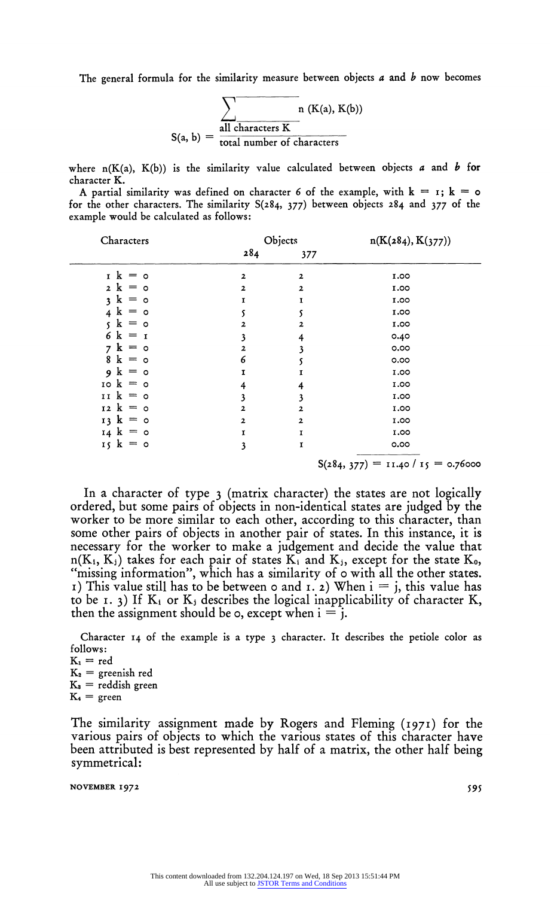**The general formula for the similarity measure between objects a and b now becomes** 

$$
S(a, b) = \frac{\sum_{all \text{ characters } K} n (K(a), K(b))}{\text{total number of characters}}
$$

where  $n(K(a), K(b))$  is the similarity value calculated between objects  $a$  and  $b$  for **character K.** 

**A** partial similarity was defined on character 6 of the example, with  $k = 1$ ;  $k = 0$ **for the other characters. The similarity S(284, 377) between objects 284 and 377 of the example would be calculated as follows:** 

| Characters                                   | Objects      |                         | n(K(284), K(377)) |
|----------------------------------------------|--------------|-------------------------|-------------------|
|                                              | 284          | 377                     |                   |
| $ik = o$                                     | $\mathbf{2}$ | 2                       | 1.00              |
| $2 k = o$                                    | 2            | 2                       | 1.00              |
| $\bf{k}$<br>$\overline{\mathbf{3}}$<br>$= 0$ |              |                         | 1.00              |
| 4 $k = 0$                                    |              |                         | 1.00              |
| $k = o$<br>¢                                 | 2            | $\overline{\mathbf{c}}$ | 1.00              |
| $6k = r$                                     |              | 4                       | 0.40              |
| $7k = o$                                     |              |                         | 0.00              |
| $8k = 0$                                     | 6            |                         | 0.00              |
| $g k = o$                                    |              |                         | 1.00              |
| $\mathbf{10} \mathbf{k} = \mathbf{0}$        |              | 4                       | 1.00              |
| $\mathbf{r} \cdot \mathbf{k} = \mathbf{0}$   |              |                         | 1.00              |
| $12 k = o$                                   | 2            | 2                       | 1.00              |
| $13 k = 0$                                   | 2            | 2                       | 1.00              |
| $14 k = o$                                   | 1            | 1                       | 1.00              |
| $15 k = o$                                   | 3            | 1                       | 0.00              |

**In a character of type 3 (matrix character) the states are not logically ordered, but some pairs of objects in non-identical states are judged by the worker to be more similar to each other, according to this character, than some other pairs of objects in another pair of states. In this instance, it is necessary for the worker to make a judgement and decide the value that n(Ki, Kj) takes for each pair of states Ki and Kj, except for the state Ko, "missing information", which has a similarity of o with all the other states.**  I) This value still has to be between  $\circ$  and  $\circ$  2) When  $i = j$ , this value has **to be I. 3) If Ki or Kj describes the logical inapplicability of character K,**  then the assignment should be  $\circ$ , except when  $i = j$ .

**Character 14 of the example is a type 3 character. It describes the petiole color as follows:**   $K_1 = red$ **K2 = greenish red**   $K_4 = \text{green}$  $K_3$  = reddish green

**The similarity assignment made by Rogers and Fleming (1971) for the various pairs of objects to which the various states of this character have been attributed is best represented by half of a matrix, the other half being symmetrical:**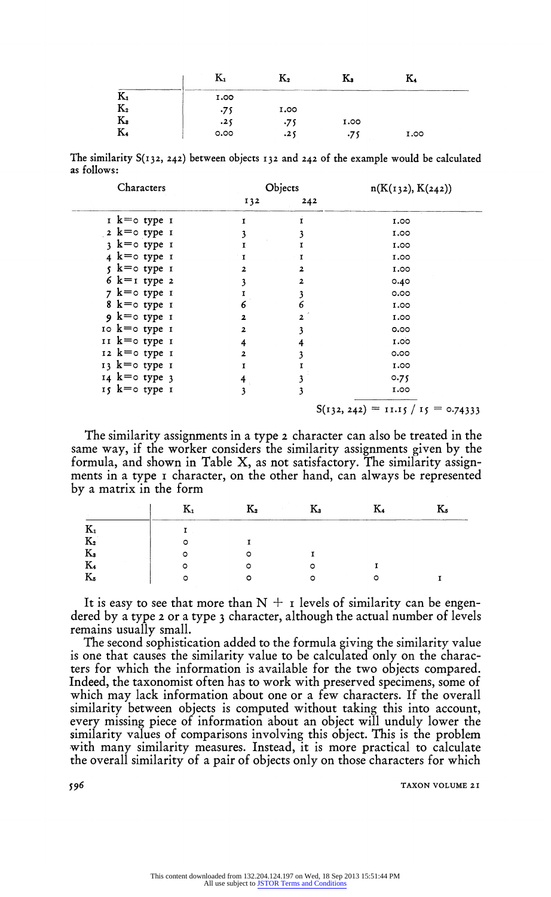|            | 771  | $\mathbf{L}_{2}$ | nз                                | 174         |  |
|------------|------|------------------|-----------------------------------|-------------|--|
| 171        | 1.00 |                  |                                   |             |  |
| <b>T73</b> | 7۶.  | 1.00             |                                   |             |  |
| Γ,         | 2۶.  | $\cdot$ /        | 1.00                              |             |  |
| 174        | 0.00 | $.2 \,$          | $\cdot$<br><b>College College</b> | <b>1.00</b> |  |

**The similarity S(I32, 242) between objects 132 and 242 of the example would be calculated as follows:** 

| Characters                         | Objects      |                | n(K(132), K(242)) |  |
|------------------------------------|--------------|----------------|-------------------|--|
|                                    | 132          | 242            |                   |  |
| $i \; k = o \; type \; i$          |              |                | 1.00              |  |
| 2 k=0 type 1                       |              |                | 1.00              |  |
| $3 k = 0$ type 1                   |              |                | 1.00              |  |
| 4 $k=0$ type $r = 1$               |              |                | 1.00              |  |
| $s \; k = \circ \; type \; i$      | $\mathbf{2}$ | 2              | 1.00              |  |
| 6 $k = 1$ type 2                   |              | 2              | 0.40              |  |
| $7 k = 0$ type I                   |              | 3              | 0.00              |  |
| $8 k = 0$ type 1                   | 6            | 6              | 1.00              |  |
| $9 k = 0$ type 1                   | 2            | $\overline{2}$ | 1.00              |  |
| 10 k=0 type 1                      | 2            |                | 0.00              |  |
| $i: k = o$ type $i$                | 4            |                | 1.00              |  |
| $12 k = o$ type $1$                | 2            |                | 0.00              |  |
| $13 k = 0$ type I                  |              |                | 1.00              |  |
| $14 \text{ k}=0 \text{ type } 3$   | 4            |                | 0.75              |  |
| $15 \text{ k} = 0 \text{ type } 1$ |              | 3              | 1.00              |  |

**The similarity assignments in a type 2 character can also be treated in the same way, if the worker considers the similarity assignments given by the formula, and shown in Table X, as not satisfactory. The similarity assignments in a type i character, on the other hand, can always be represented by a matrix in the form** 

| <b>COLLECTION</b> | -- | ne e<br>$\mathbf{r}$ |  |  |
|-------------------|----|----------------------|--|--|
| $\mathbf{K}$      |    |                      |  |  |
| K <sub>2</sub>    |    |                      |  |  |
| K,                |    |                      |  |  |
| $K_4$             |    |                      |  |  |
| K,                |    |                      |  |  |

It is easy to see that more than  $N + i$  levels of similarity can be engen**dered by a type 2 or a type 3 character, although the actual number of levels remains usually small.** 

**The second sophistication added to the formula giving the similarity value is one that causes the similarity value to be calculated only on the characters for which the information is available for the two objects compared. Indeed, the taxonomist often has to work with preserved specimens, some of which may lack information about one or a few characters. If the overall similarity between objects is computed without taking this into account, every missing piece of information about an object will unduly lower the similarity values of comparisons involving this object. This is the problem with many similarity measures. Instead, it is more practical to calculate the overall similarity of a pair of objects only on those characters for which**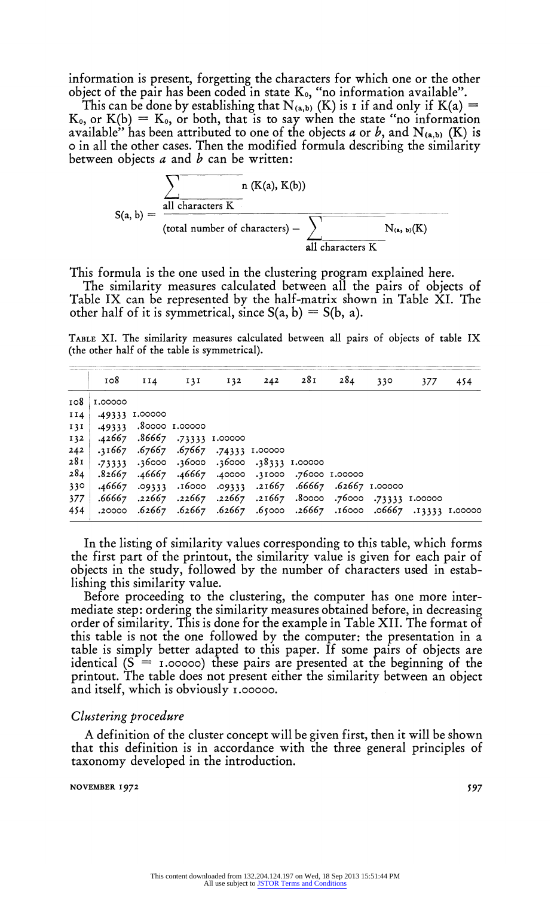**information is present, forgetting the characters for which one or the other object of the pair has been coded in state Ko, "no information available".** 

This can be done by establishing that  $N_{(a,b)}(K)$  is 1 if and only if  $K(a) = K(a)$  $K_0$ , or  $K(b) = K_0$ , or both, that is to say when the state "no information available" has been attributed to one of the objects  $a$  or  $b$ , and  $N_{(a,b)}$  (K) is **o in all the other cases. Then the modified formula describing the similarity between objects a and b can be written:** 

$$
S(a, b) = \frac{\sum_{\text{all characters } K} n (K(a), K(b))}{\text{(total number of characters)}} - \frac{\sum_{\text{all characters } K} N_{(a, b)}(K)}{\sum_{\text{all characters } K} N_{(a, b)}(K)}
$$

**This formula is the one used in the clustering program explained here.** 

**The similarity measures calculated between all the pairs of objects of Table IX can be represented by the half-matrix shown in Table XI. The**  other half of it is symmetrical, since  $S(a, b) = S(b, a)$ .

**TABLE XI. The similarity measures calculated between all pairs of objects of table IX (the other half of the table is symmetrical).** 

|     | 108      | II4             | 131                                                              | 132 | 242 | 28 I | 284 | 330 | 377 | 454 |
|-----|----------|-----------------|------------------------------------------------------------------|-----|-----|------|-----|-----|-----|-----|
| 108 | 1,00000  |                 |                                                                  |     |     |      |     |     |     |     |
| II4 |          | .49333 I.00000  |                                                                  |     |     |      |     |     |     |     |
| I3I | $-49333$ | .80000.1 00008. |                                                                  |     |     |      |     |     |     |     |
| 132 |          |                 | .42667 .86667 .73333 1.00000                                     |     |     |      |     |     |     |     |
| 242 |          |                 | .31667 .67667 .67667 .74333 .00000                               |     |     |      |     |     |     |     |
| 281 |          |                 | .73333 .36000 .36000 .36000 .38333 .00000                        |     |     |      |     |     |     |     |
| 284 |          |                 | .82667 .46667 .46667 .40000 .31000 .76000 .82667                 |     |     |      |     |     |     |     |
| 330 |          |                 | .46667 1.00000 66667. 16000 1333. 16667. 16667. 46667.           |     |     |      |     |     |     |     |
| 377 |          |                 | .600001 73333, 76000. 80000. 21667. 22667. 22667. 26667.         |     |     |      |     |     |     |     |
| 454 |          |                 | 000001 13331. 16667. 16000. 16667. 67000. 162667. 162667. 20000. |     |     |      |     |     |     |     |

**In the listing of similarity values corresponding to this table, which forms the first part of the printout, the similarity value is given for each pair of objects in the study, followed by the number of characters used in establishing this similarity value.** 

**Before proceeding to the clustering, the computer has one more intermediate step: ordering the similarity measures obtained before, in decreasing order of similarity. This is done for the example in Table XII. The format of this table is not the one followed by the computer: the presentation in a table is simply better adapted to this paper. If some pairs of objects are identical (S = I.ooooo) these pairs are presented at the beginning of the printout. The table does not present either the similarity between an object and itself, which is obviously i.ooooo.** 

### **Clustering procedure**

**A definition of the cluster concept will be given first, then it will be shown that this definition is in accordance with the three general principles of taxonomy developed in the introduction.**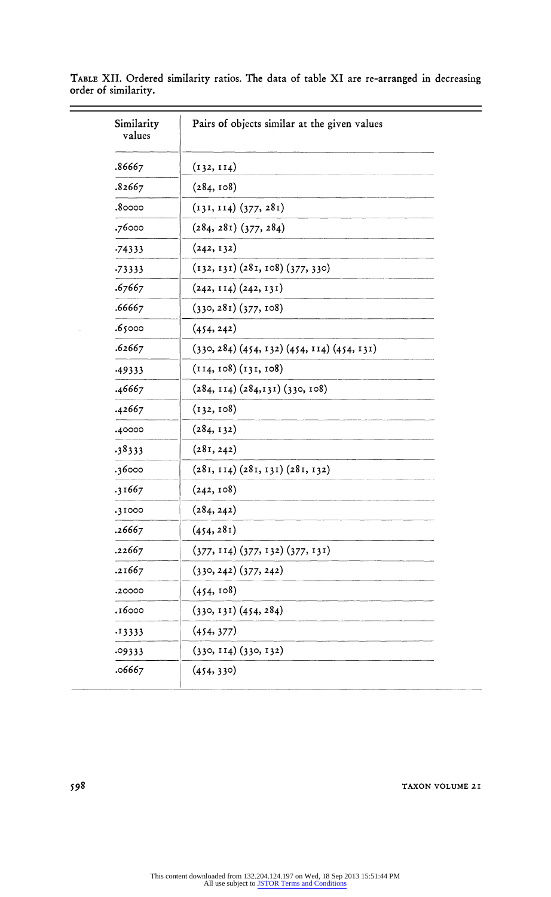**TABLE XII. Ordered similarity ratios. The data of table XI are re-arranged in decreasing order of similarity.** 

| Similarity<br>values | Pairs of objects similar at the given values        |
|----------------------|-----------------------------------------------------|
| .86667               | (132, 114)                                          |
| .82667               | (284, 108)                                          |
| .80000               | $(131, 114)$ $(377, 281)$                           |
| .76000               | $(284, 281)$ $(377, 284)$                           |
| .74333               | (242, 132)                                          |
| $-73333$             | $(132, 131)$ $(281, 108)$ $(377, 330)$              |
| .67667               | (242, 114) (242, 131)                               |
| .66667               | $(330, 281)$ $(377, 108)$                           |
| .65000               | (454, 242)                                          |
| .62667               | $(330, 284)$ $(454, 132)$ $(454, 114)$ $(454, 131)$ |
| -49333               | $(114, 108)$ $(131, 108)$                           |
| .46667               | (284, 114) (284, 131) (330, 108)                    |
| .42667               | (132, 108)                                          |
| .40000               | (284, 132)                                          |
| .38333               | (281, 242)                                          |
| .36000               | (281, 114) (281, 131) (281, 132)                    |
| .31667               | (242, 108)                                          |
| .31000               | (284, 242)                                          |
| .26667               | (454, 281)                                          |
| .22667               | $(377, 114)$ $(377, 132)$ $(377, 131)$              |
| .21667               | $(330, 242)$ $(377, 242)$                           |
| .20000               | (454, 108)                                          |
| .16000               | $(330, 131)$ $(454, 284)$                           |
| .13333               | (454, 377)                                          |
| .09333               | $(330, 114)$ $(330, 132)$                           |
| .06667               | (454, 330)                                          |
|                      |                                                     |

**598 TAXON VOLUME 21** 

-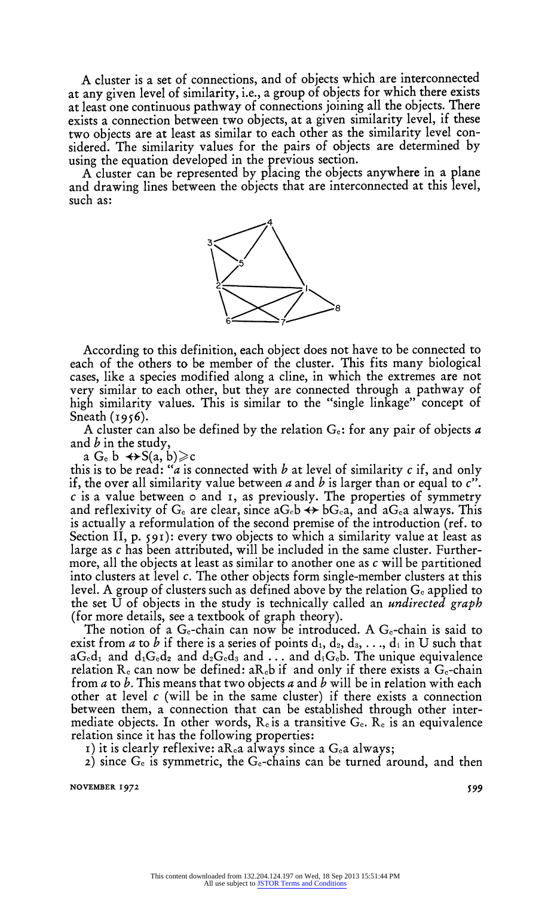**A cluster is a set of connections, and of objects which are interconnected at any given level of similarity, i.e., a group of objects for which there exists at least one continuous pathway of connections joining all the objects. There exists a connection between two objects, at a given similarity level, if these two objects are at least as similar to each other as the similarity level considered. The similarity values for the pairs of objects are determined by using the equation developed in the previous section.** 

**A cluster can be represented by placing the objects anywhere in a plane and drawing lines between the objects that are interconnected at this level, such as:** 



**According to this definition, each object does not have to be connected to each of the others to be member of the cluster. This fits many biological cases, like a species modified along a cline, in which the extremes are not very similar to each other, but they are connected through a pathway of high similarity values. This is similar to the "single linkage" concept of** 

A cluster can also be defined by the relation G<sub>c</sub>: for any pair of objects a **and b in the study,** 

 $a \ G_e b \leftrightarrow S(a, b) \geqslant c$ 

**this is to be read: "a is connected with b at level of similarity c if, and only if, the over all similarity value between a and b is larger than or equal to c". c is a value between o and i, as previously. The properties of symmetry**  and reflexivity of  $G_c$  are clear, since  $aG_c b \leftrightarrow bG_c a$ , and  $aG_c a$  always. This **is actually a reformulation of the second premise of the introduction (ref. to Section II, p. 591): every two objects to which a similarity value at least as large as c has been attributed, will be included in the same cluster. Furthermore, all the objects at least as similar to another one as c will be partitioned into clusters at level c. The other objects form single-member clusters at this**  level. A group of clusters such as defined above by the relation  $G<sub>c</sub>$  applied to **the set U of objects in the study is technically called an undirected graph (for more details, see a textbook of graph theory).** 

**The notion of a Go-chain can now be introduced. A Go-chain is said to**  exist from *a* to *b* if there is a series of points  $d_1, d_2, d_3, \ldots, d_i$  in U such that  $aG_{c}d_{1}$  and  $d_{1}G_{c}d_{2}$  and  $d_{2}G_{c}d_{3}$  and  $\ldots$  and  $d_{1}G_{c}b$ . The unique equivalence **relation**  $R_c$  can now be defined:  $aR_c$ b if and only if there exists a  $G_c$ -chain from *a* to *b*. This means that two objects *a* and *b* will be in relation with each **other at level c (will be in the same cluster) if there exists a connection between them, a connection that can be established through other intermediate objects. In other words,**  $\mathbf{R}_{\rm e}$  **is a transitive**  $\mathbf{G}_{\rm e}$ **.**  $\mathbf{R}_{\rm e}$  **is an equivalence relation since it has the following properties:** 

**i**) it is clearly reflexive:  $aR<sub>c</sub>a$  always since a  $G<sub>c</sub>a$  always;

2) since  $G<sub>c</sub>$  is symmetric, the  $G<sub>c</sub>$ -chains can be turned around, and then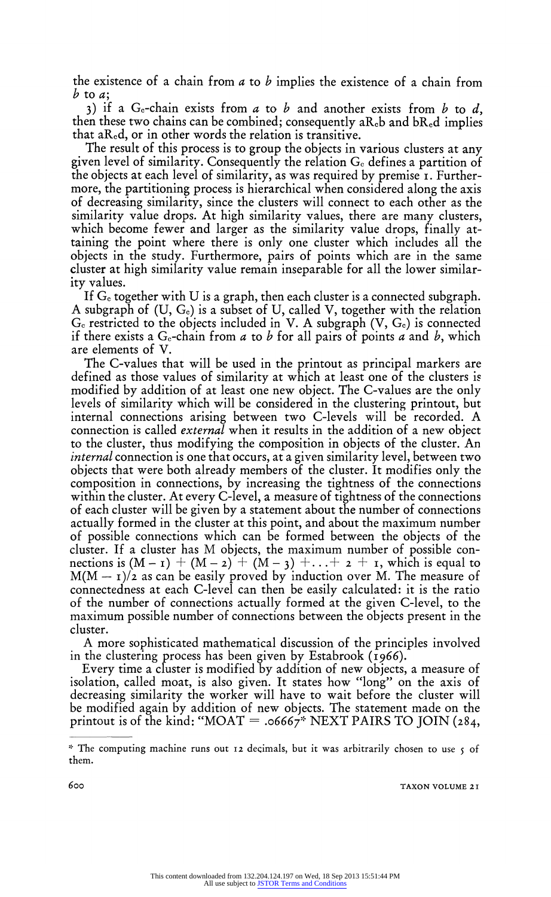**the existence of a chain from a to b implies the existence of a chain from b to a;** 

**3) if a Ge-chain exists from a to b and another exists from b to d, then these two chains can be combined; consequently aRab and bRed implies that aRed, or in other words the relation is transitive.** 

**The result of this process is to group the objects in various clusters at any given level of similarity. Consequently the relation Go defines a partition of the objects at each level of similarity, as was required by premise i. Furthermore, the partitioning process is hierarchical when considered along the axis of decreasing similarity, since the clusters will connect to each other as the similarity value drops. At high similarity values, there are many clusters, which become fewer and larger as the similarity value drops, finally attaining the point where there is only one cluster which includes all the objects in the study. Furthermore, pairs of points which are in the same cluster at high similarity value remain inseparable for all the lower similarity values.** 

If G<sub>c</sub> together with U is a graph, then each cluster is a connected subgraph. **A subgraph of (U, Go) is a subset of U, called V, together with the relation Go restricted to the objects included in V. A subgraph (V, Go) is connected if there exists a Ge-chain from a to b for all pairs of points a and b, which are elements of V.** 

**The C-values that will be used in the printout as principal markers are defined as those values of similarity at which at least one of the clusters is modified by addition of at least one new object. The C-values are the only levels of similarity which will be considered in the clustering printout, but internal connections arising between two C-levels will be recorded. A connection is called external when it results in the addition of a new object to the cluster, thus modifying the composition in objects of the cluster. An internal connection is one that occurs, at a given similarity level, between two objects that were both already members of the cluster. It modifies only the composition in connections, by increasing the tightness of the connections within the cluster. At every C-level, a measure of tightness of the connections of each cluster will be given by a statement about the number of connections actually formed in the cluster at this point, and about the maximum number of possible connections which can be formed between the objects of the cluster. If a cluster has M objects, the maximum number of possible connections is**  $(M - r) + (M - 2) + (M - 3) + ... + 2 + r$ **, which is equal to**  $M(M - r)/2$  as can be easily proved by induction over M. The measure of **connectedness at each C-level can then be easily calculated: it is the ratio of the number of connections actually formed at the given C-level, to the maximum possible number of connections between the objects present in the cluster.** 

**A more sophisticated mathematical discussion of the principles involved in the clustering process has been given by Estabrook (1966).** 

**Every time a cluster is modified by addition of new objects, a measure of isolation, called moat, is also given. It states how "long" on the axis of decreasing similarity the worker will have to wait before the cluster will be modified again by addition of new objects. The statement made on the printout is of the kind: "MOAT = .o6667' NEXT PAIRS TO JOIN (284,** 

**<sup>4</sup> The computing machine runs out 12 decimals, but it was arbitrarily chosen to use 5 of them.**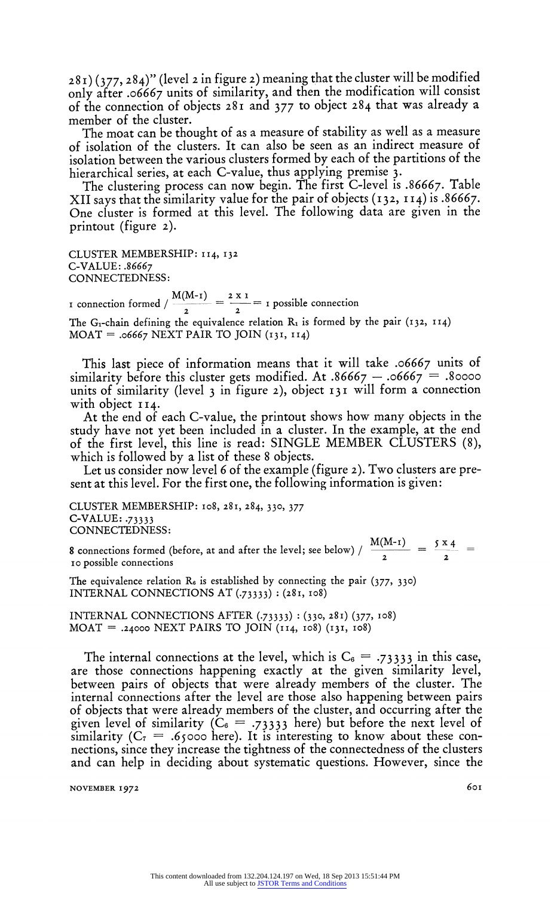**281) (377, 284)" (level 2 in figure 2) meaning that the cluster will be modified only after .06667 units of similarity, and then the modification will consist of the connection of objects 281 and 377 to object 284 that was already a member of the cluster.** 

**The moat can be thought of as a measure of stability as well as a measure of isolation of the clusters. It can also be seen as an indirect measure of isolation between the various clusters formed by each of the partitions of the hierarchical series, at each C-value, thus applying premise 3.** 

**The clustering process can now begin. The first C-level is .86667. Table XII says that the similarity value for the pair of objects ( 32, 14) is .8 6667. One cluster is formed at this level. The following data are given in the printout (figure 2).** 

**CLUSTER MEMBERSHIP: I 14, 132 C-VALUE: .86667 CONNECTEDNESS:** 

**I** connection formed /  $\frac{M(M-r)}{2} = \frac{2 \times r}{2} = r$  possible connection

The G<sub>1</sub>-chain defining the equivalence relation R<sub>1</sub> is formed by the pair (132, 114) **MOAT = .06667 NEXT PAIR TO JOIN (13I, 114)** 

**This last piece of information means that it will take .06667 units of**  similarity before this cluster gets modified. At  $.86667 - .06667 = .80000$ **units of similarity (level 3 in figure 2), object 131 will form a connection with object I14.** 

**At the end of each C-value, the printout shows how many objects in the study have not yet been included in a cluster. In the example, at the end of the first level, this line is read: SINGLE MEMBER CLUSTERS (8), which is followed by a list of these 8 objects.** 

**Let us consider now level 6 of the example (figure 2). Two clusters are present at this level. For the first one, the following information is given:** 

**CLUSTER MEMBERSHIP: io8, 281, 284, 330, 377 C-VALUE: .73333 CONNECTEDNESS:** 

**8** connections formed (before, at and after the level; see below) /  $\frac{M(M-r)}{2} = \frac{5 \times 4}{2}$ **Io possible connections** 

**The equivalence relation R6 is established by connecting the pair (377, 330) INTERNAL CONNECTIONS AT (.73333) : (281, o08)** 

**INTERNAL CONNECTIONS AFTER (.73333) : (330, 281) (377, io8) MOAT = .24000 NEXT PAIRS TO JOIN (114, io8) (I3I, io8)** 

The internal connections at the level, which is  $C_6 = .73333$  in this case, **are those connections happening exactly at the given similarity level, between pairs of objects that were already members of the cluster. The internal connections after the level are those also happening between pairs of objects that were already members of the cluster, and occurring after the**  given level of similarity  $(C_6 = .73333$  here) but before the next level of similarity  $(C_7 = .65000$  here). It is interesting to know about these con**nections, since they increase the tightness of the connectedness of the clusters and can help in deciding about systematic questions. However, since the**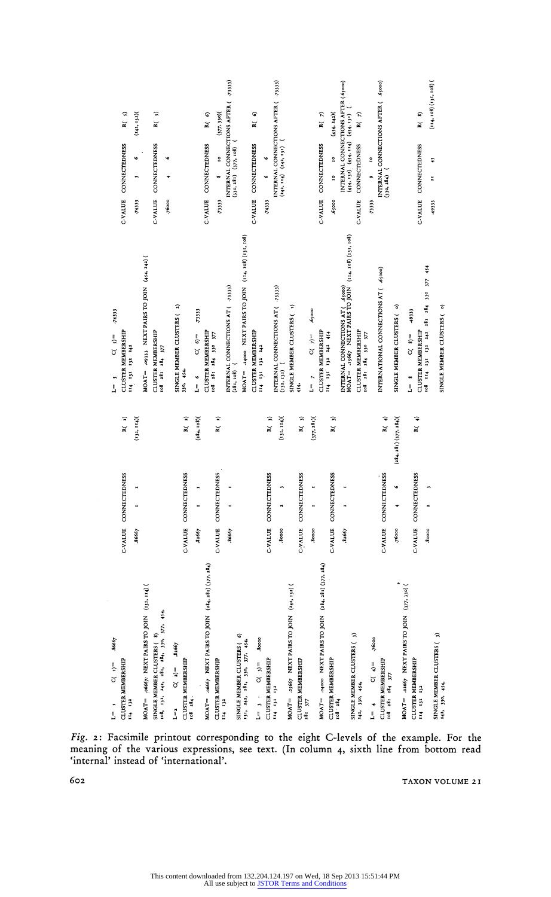Fig. 2: Facsimile printout corresponding to the eight C-levels of the example. For the meaning of the various expressions, see text. (In column 4, sixth line from bottom read 'internal' instead of 'international'.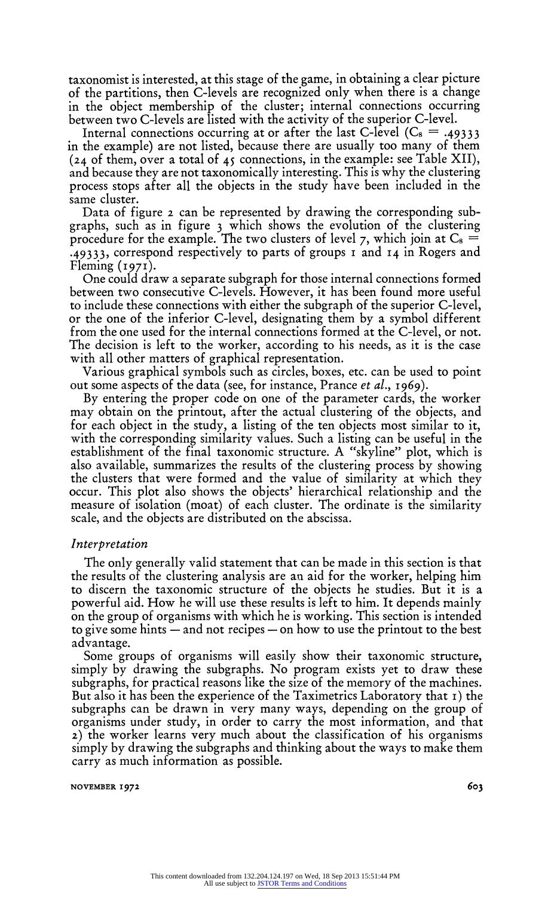**taxonomist is interested, at this stage of the game, in obtaining a clear picture of the partitions, then C-levels are recognized only when there is a change in the object membership of the cluster; internal connections occurring between two C-levels are listed with the activity of the superior C-level.** 

Internal connections occurring at or after the last C-level ( $C_8 = .49333$ ) **in the example) are not listed, because there are usually too many of them (24 of them, over a total of 45 connections, in the example: see Table XII), and because they are not taxonomically interesting. This is why the clustering process stops after all the objects in the study have been included in the same cluster.** 

**Data of figure 2 can be represented by drawing the corresponding subgraphs, such as in figure 3 which shows the evolution of the clustering**  procedure for the example. The two clusters of level 7, which join at C<sub>8</sub> = **.49333, correspond respectively to parts of groups I and 14 in Rogers and Fleming (1971).** 

**One could draw a separate subgraph for those internal connections formed between two consecutive C-levels. However, it has been found more useful to include these connections with either the subgraph of the superior C-level, or the one of the inferior C-level, designating them by a symbol different from the one used for the internal connections formed at the C-level, or not. The decision is left to the worker, according to his needs, as it is the case with all other matters of graphical representation.** 

**Various graphical symbols such as circles, boxes, etc. can be used to point out some aspects of the data (see, for instance, Prance et al., 1969).** 

**By entering the proper code on one of the parameter cards, the worker may obtain on the printout, after the actual clustering of the objects, and for each object in the study, a listing of the ten objects most similar to it, with the corresponding similarity values. Such a listing can be useful in the establishment of the final taxonomic structure. A "skyline" plot, which is also available, summarizes the results of the clustering process by showing the clusters that were formed and the value of similarity at which they occur. This plot also shows the objects' hierarchical relationship and the measure of isolation (moat) of each cluster. The ordinate is the similarity scale, and the objects are distributed on the abscissa.** 

### **Interpretation**

**The only generally valid statement that can be made in this section is that the results of the clustering analysis are an aid for the worker, helping him to discern the taxonomic structure of the objects he studies. But it is a powerful aid. How he will use these results is left to him. It depends mainly on the group of organisms with which he is working. This section is intended**  to give some hints — and not recipes — on how to use the printout to the best **advantage.** 

**Some groups of organisms will easily show their taxonomic structure, simply by drawing the subgraphs. No program exists yet to draw these subgraphs, for practical reasons like the size of the memory of the machines. But also it has been the experience of the Taximetrics Laboratory that I) the subgraphs can be drawn in very many ways, depending on the group of organisms under study, in order to carry the most information, and that 2) the worker learns very much about the classification of his organisms simply by drawing the subgraphs and thinking about the ways to make them carry as much information as possible.** 

**NOVEMBER 1972 603)**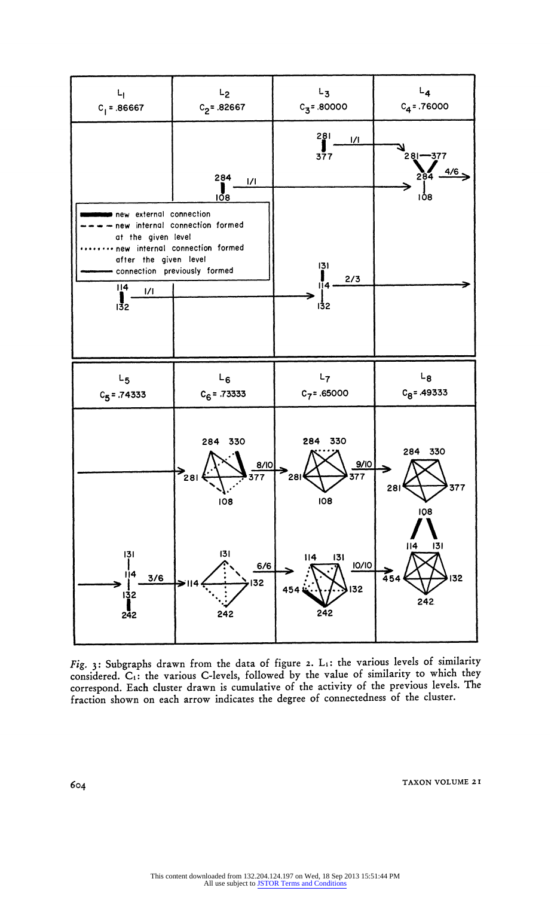

**Fig. 3: Subgraphs drawn from the data of figure 2. Li: the various levels of similarity considered. Ci: the various C-levels, followed by the value of similarity to which they correspond. Each cluster drawn is cumulative of the activity of the previous levels. The fraction shown on each arrow indicates the degree of connectedness of the cluster.**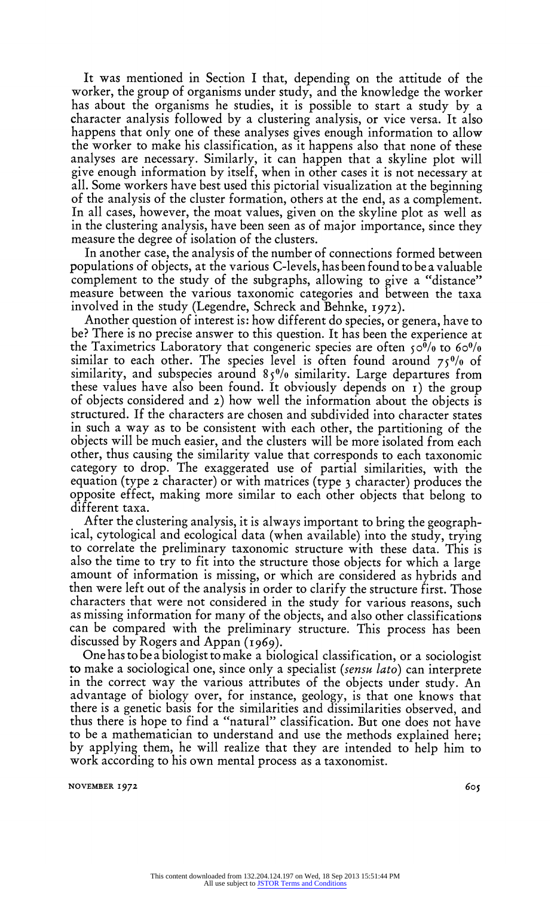**It was mentioned in Section I that, depending on the attitude of the worker, the group of organisms under study, and the knowledge the worker has about the organisms he studies, it is possible to start a study by a character analysis followed by a clustering analysis, or vice versa. It also happens that only one of these analyses gives enough information to allow the worker to make his classification, as it happens also that none of these analyses are necessary. Similarly, it can happen that a skyline plot will give enough information by itself, when in other cases it is not necessary at all. Some workers have best used this pictorial visualization at the beginning of the analysis of the cluster formation, others at the end, as a complement. In all cases, however, the moat values, given on the skyline plot as well as in the clustering analysis, have been seen as of major importance, since they measure the degree of isolation of the clusters.** 

**In another case, the analysis of the number of connections formed between populations of objects, at the various C-levels, has been found to be a valuable complement to the study of the subgraphs, allowing to give a "distance" measure between the various taxonomic categories and between the taxa involved in the study (Legendre, Schreck and Behnke, 1972).** 

**Another question of interest is: how different do species, or genera, have to be? There is no precise answer to this question. It has been the experience at**  the Taximetrics Laboratory that congeneric species are often  $50\%$  to  $60\%$ **similar to each other. The species level is often found around 750/0 of similarity, and subspecies around 850/0 similarity. Large departures from these values have also been found. It obviously depends on i) the group of objects considered and 2) how well the information about the objects is structured. If the characters are chosen and subdivided into character states in such a way as to be consistent with each other, the partitioning of the objects will be much easier, and the clusters will be more isolated from each other, thus causing the similarity value that corresponds to each taxonomic category to drop. The exaggerated use of partial similarities, with the equation (type 2 character) or with matrices (type 3 character) produces the opposite effect, making more similar to each other objects that belong to different taxa.** 

**After the clustering analysis, it is always important to bring the geographical, cytological and ecological data (when available) into the study, trying to correlate the preliminary taxonomic structure with these data. This is also the time to try to fit into the structure those objects for which a large amount of information is missing, or which are considered as hybrids and then were left out of the analysis in order to clarify the structure first. Those characters that were not considered in the study for various reasons, such as missing information for many of the objects, and also other classifications can be compared with the preliminary structure. This process has been discussed by Rogers and Appan (1969).** 

**One has to be a biologist to make a biological classification, or a sociologist**  in the correct way the various attributes of the objects under study. An **advantage of biology over, for instance, geology, is that one knows that there is a genetic basis for the similarities and dissimilarities observed, and thus there is hope to find a "natural" classification. But one does not have to be a mathematician to understand and use the methods explained here; by applying them, he will realize that they are intended to help him to work according to his own mental process as a taxonomist.**